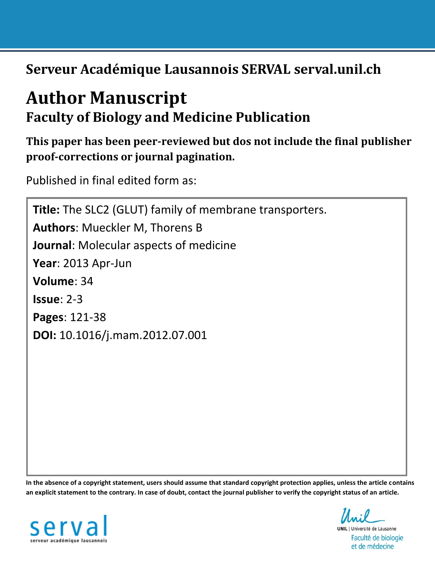**Serveur Académique Lausannois SERVAL serval.unil.ch**

# **Author Manuscript Faculty of Biology and Medicine Publication**

**This paper has been peer-reviewed but dos not include the final publisher proof-corrections or journal pagination.**

Published in final edited form as:

**Title:** The SLC2 (GLUT) family of membrane transporters. **Authors**: Mueckler M, Thorens B **Journal**: Molecular aspects of medicine **Year**: 2013 Apr-Jun **Volume**: 34 **Issue**: 2-3 **Pages**: 121-38 **DOI:** [10.1016/j.mam.2012.07.001](http://dx.doi.org/10.1016/j.mam.2012.07.001)

**In the absence of a copyright statement, users should assume that standard copyright protection applies, unless the article contains an explicit statement to the contrary. In case of doubt, contact the journal publisher to verify the copyright status of an article.**



**UNIL** | Université de Lausanne Faculté de biologie et de médecine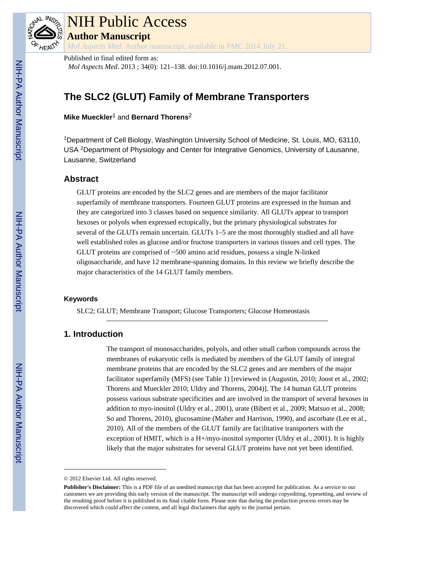

# NIH Public Access **Author Manuscript**

*Mol Aspects Med*. Author manuscript; available in PMC 2014 July 21.

## Published in final edited form as:

*Mol Aspects Med*. 2013 ; 34(0): 121–138. doi:10.1016/j.mam.2012.07.001.

## **The SLC2 (GLUT) Family of Membrane Transporters**

**Mike Mueckler**1 and **Bernard Thorens**<sup>2</sup>

<sup>1</sup>Department of Cell Biology, Washington University School of Medicine, St. Louis, MO, 63110, USA 2Department of Physiology and Center for Integrative Genomics, University of Lausanne, Lausanne, Switzerland

## **Abstract**

GLUT proteins are encoded by the SLC2 genes and are members of the major facilitator superfamily of membrane transporters. Fourteen GLUT proteins are expressed in the human and they are categorized into 3 classes based on sequence similarity. All GLUTs appear to transport hexoses or polyols when expressed ectopically, but the primary physiological substrates for several of the GLUTs remain uncertain. GLUTs 1–5 are the most thoroughly studied and all have well established roles as glucose and/or fructose transporters in various tissues and cell types. The GLUT proteins are comprised of ~500 amino acid residues, possess a single N-linked oligosaccharide, and have 12 membrane-spanning domains. In this review we briefly describe the major characteristics of the 14 GLUT family members.

#### **Keywords**

SLC2; GLUT; Membrane Transport; Glucose Transporters; Glucose Homeostasis

## **1. Introduction**

The transport of monosaccharides, polyols, and other small carbon compounds across the membranes of eukaryotic cells is mediated by members of the GLUT family of integral membrane proteins that are encoded by the SLC2 genes and are members of the major facilitator superfamily (MFS) (see Table 1) [reviewed in (Augustin, 2010; Joost et al., 2002; Thorens and Mueckler 2010; Uldry and Thorens, 2004)]. The 14 human GLUT proteins possess various substrate specificities and are involved in the transport of several hexoses in addition to myo-inositol (Uldry et al., 2001), urate (Bibert et al., 2009; Matsuo et al., 2008; So and Thorens, 2010), glucosamine (Maher and Harrison, 1990), and ascorbate (Lee et al., 2010). All of the members of the GLUT family are facilitative transporters with the exception of HMIT, which is a H+/myo-inositol symporter (Uldry et al., 2001). It is highly likely that the major substrates for several GLUT proteins have not yet been identified.

<sup>© 2012</sup> Elsevier Ltd. All rights reserved.

**Publisher's Disclaimer:** This is a PDF file of an unedited manuscript that has been accepted for publication. As a service to our customers we are providing this early version of the manuscript. The manuscript will undergo copyediting, typesetting, and review of the resulting proof before it is published in its final citable form. Please note that during the production process errors may be discovered which could affect the content, and all legal disclaimers that apply to the journal pertain.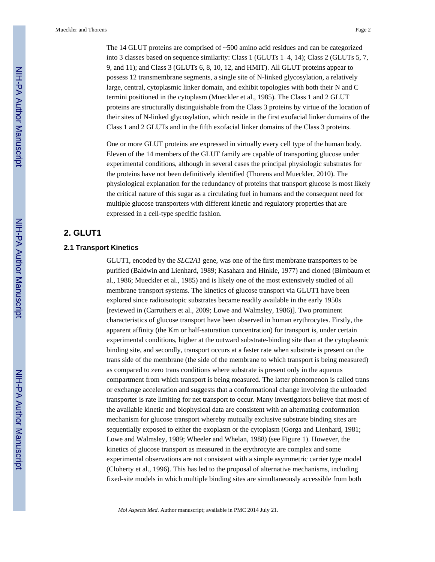The 14 GLUT proteins are comprised of ~500 amino acid residues and can be categorized into 3 classes based on sequence similarity: Class 1 (GLUTs 1–4, 14); Class 2 (GLUTs 5, 7, 9, and 11); and Class 3 (GLUTs 6, 8, 10, 12, and HMIT). All GLUT proteins appear to possess 12 transmembrane segments, a single site of N-linked glycosylation, a relatively large, central, cytoplasmic linker domain, and exhibit topologies with both their N and C termini positioned in the cytoplasm (Mueckler et al., 1985). The Class 1 and 2 GLUT proteins are structurally distinguishable from the Class 3 proteins by virtue of the location of their sites of N-linked glycosylation, which reside in the first exofacial linker domains of the Class 1 and 2 GLUTs and in the fifth exofacial linker domains of the Class 3 proteins.

One or more GLUT proteins are expressed in virtually every cell type of the human body. Eleven of the 14 members of the GLUT family are capable of transporting glucose under experimental conditions, although in several cases the principal physiologic substrates for the proteins have not been definitively identified (Thorens and Mueckler, 2010). The physiological explanation for the redundancy of proteins that transport glucose is most likely the critical nature of this sugar as a circulating fuel in humans and the consequent need for multiple glucose transporters with different kinetic and regulatory properties that are expressed in a cell-type specific fashion.

## **2. GLUT1**

#### **2.1 Transport Kinetics**

GLUT1, encoded by the *SLC2A1* gene, was one of the first membrane transporters to be purified (Baldwin and Lienhard, 1989; Kasahara and Hinkle, 1977) and cloned (Birnbaum et al., 1986; Mueckler et al., 1985) and is likely one of the most extensively studied of all membrane transport systems. The kinetics of glucose transport via GLUT1 have been explored since radioisotopic substrates became readily available in the early 1950s [reviewed in (Carruthers et al., 2009; Lowe and Walmsley, 1986)]. Two prominent characteristics of glucose transport have been observed in human erythrocytes. Firstly, the apparent affinity (the Km or half-saturation concentration) for transport is, under certain experimental conditions, higher at the outward substrate-binding site than at the cytoplasmic binding site, and secondly, transport occurs at a faster rate when substrate is present on the trans side of the membrane (the side of the membrane to which transport is being measured) as compared to zero trans conditions where substrate is present only in the aqueous compartment from which transport is being measured. The latter phenomenon is called trans or exchange acceleration and suggests that a conformational change involving the unloaded transporter is rate limiting for net transport to occur. Many investigators believe that most of the available kinetic and biophysical data are consistent with an alternating conformation mechanism for glucose transport whereby mutually exclusive substrate binding sites are sequentially exposed to either the exoplasm or the cytoplasm (Gorga and Lienhard, 1981; Lowe and Walmsley, 1989; Wheeler and Whelan, 1988) (see Figure 1). However, the kinetics of glucose transport as measured in the erythrocyte are complex and some experimental observations are not consistent with a simple asymmetric carrier type model (Cloherty et al., 1996). This has led to the proposal of alternative mechanisms, including fixed-site models in which multiple binding sites are simultaneously accessible from both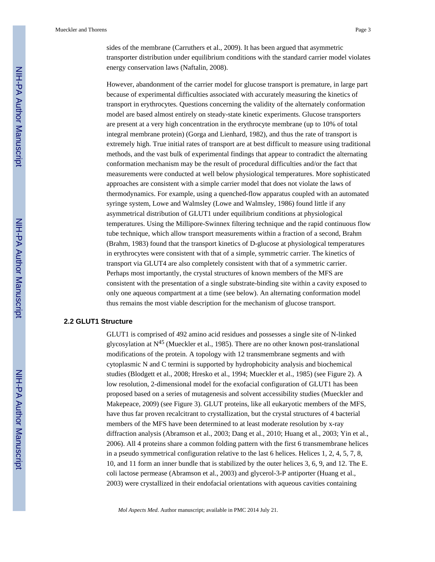sides of the membrane (Carruthers et al., 2009). It has been argued that asymmetric transporter distribution under equilibrium conditions with the standard carrier model violates energy conservation laws (Naftalin, 2008).

However, abandonment of the carrier model for glucose transport is premature, in large part because of experimental difficulties associated with accurately measuring the kinetics of transport in erythrocytes. Questions concerning the validity of the alternately conformation model are based almost entirely on steady-state kinetic experiments. Glucose transporters are present at a very high concentration in the erythrocyte membrane (up to 10% of total integral membrane protein) (Gorga and Lienhard, 1982), and thus the rate of transport is extremely high. True initial rates of transport are at best difficult to measure using traditional methods, and the vast bulk of experimental findings that appear to contradict the alternating conformation mechanism may be the result of procedural difficulties and/or the fact that measurements were conducted at well below physiological temperatures. More sophisticated approaches are consistent with a simple carrier model that does not violate the laws of thermodynamics. For example, using a quenched-flow apparatus coupled with an automated syringe system, Lowe and Walmsley (Lowe and Walmsley, 1986) found little if any asymmetrical distribution of GLUT1 under equilibrium conditions at physiological temperatures. Using the Millipore-Swinnex filtering technique and the rapid continuous flow tube technique, which allow transport measurements within a fraction of a second, Brahm (Brahm, 1983) found that the transport kinetics of D-glucose at physiological temperatures in erythrocytes were consistent with that of a simple, symmetric carrier. The kinetics of transport via GLUT4 are also completely consistent with that of a symmetric carrier. Perhaps most importantly, the crystal structures of known members of the MFS are consistent with the presentation of a single substrate-binding site within a cavity exposed to only one aqueous compartment at a time (see below). An alternating conformation model thus remains the most viable description for the mechanism of glucose transport.

#### **2.2 GLUT1 Structure**

GLUT1 is comprised of 492 amino acid residues and possesses a single site of N-linked glycosylation at  $N^{45}$  (Mueckler et al., 1985). There are no other known post-translational modifications of the protein. A topology with 12 transmembrane segments and with cytoplasmic N and C termini is supported by hydrophobicity analysis and biochemical studies (Blodgett et al., 2008; Hresko et al., 1994; Mueckler et al., 1985) (see Figure 2). A low resolution, 2-dimensional model for the exofacial configuration of GLUT1 has been proposed based on a series of mutagenesis and solvent accessibility studies (Mueckler and Makepeace, 2009) (see Figure 3). GLUT proteins, like all eukaryotic members of the MFS, have thus far proven recalcitrant to crystallization, but the crystal structures of 4 bacterial members of the MFS have been determined to at least moderate resolution by x-ray diffraction analysis (Abramson et al., 2003; Dang et al., 2010; Huang et al., 2003; Yin et al., 2006). All 4 proteins share a common folding pattern with the first 6 transmembrane helices in a pseudo symmetrical configuration relative to the last 6 helices. Helices 1, 2, 4, 5, 7, 8, 10, and 11 form an inner bundle that is stabilized by the outer helices 3, 6, 9, and 12. The E. coli lactose permease (Abramson et al., 2003) and glycerol-3-P antiporter (Huang et al., 2003) were crystallized in their endofacial orientations with aqueous cavities containing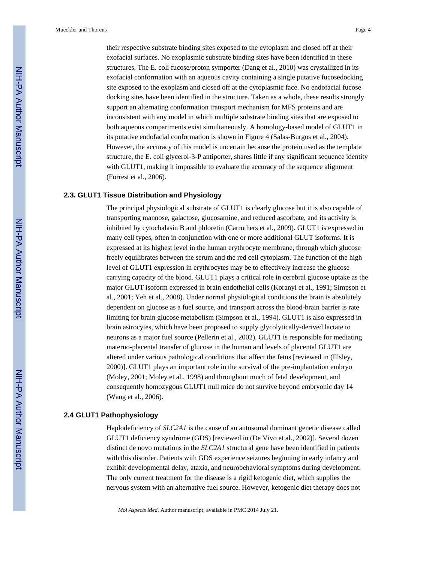their respective substrate binding sites exposed to the cytoplasm and closed off at their exofacial surfaces. No exoplasmic substrate binding sites have been identified in these structures. The E. coli fucose/proton symporter (Dang et al., 2010) was crystallized in its exofacial conformation with an aqueous cavity containing a single putative fucosedocking site exposed to the exoplasm and closed off at the cytoplasmic face. No endofacial fucose docking sites have been identified in the structure. Taken as a whole, these results strongly support an alternating conformation transport mechanism for MFS proteins and are inconsistent with any model in which multiple substrate binding sites that are exposed to both aqueous compartments exist simultaneously. A homology-based model of GLUT1 in its putative endofacial conformation is shown in Figure 4 (Salas-Burgos et al., 2004). However, the accuracy of this model is uncertain because the protein used as the template structure, the E. coli glycerol-3-P antiporter, shares little if any significant sequence identity with GLUT1, making it impossible to evaluate the accuracy of the sequence alignment (Forrest et al., 2006).

#### **2.3. GLUT1 Tissue Distribution and Physiology**

The principal physiological substrate of GLUT1 is clearly glucose but it is also capable of transporting mannose, galactose, glucosamine, and reduced ascorbate, and its activity is inhibited by cytochalasin B and phloretin (Carruthers et al., 2009). GLUT1 is expressed in many cell types, often in conjunction with one or more additional GLUT isoforms. It is expressed at its highest level in the human erythrocyte membrane, through which glucose freely equilibrates between the serum and the red cell cytoplasm. The function of the high level of GLUT1 expression in erythrocytes may be to effectively increase the glucose carrying capacity of the blood. GLUT1 plays a critical role in cerebral glucose uptake as the major GLUT isoform expressed in brain endothelial cells (Koranyi et al., 1991; Simpson et al., 2001; Yeh et al., 2008). Under normal physiological conditions the brain is absolutely dependent on glucose as a fuel source, and transport across the blood-brain barrier is rate limiting for brain glucose metabolism (Simpson et al., 1994). GLUT1 is also expressed in brain astrocytes, which have been proposed to supply glycolytically-derived lactate to neurons as a major fuel source (Pellerin et al., 2002). GLUT1 is responsible for mediating materno-placental transfer of glucose in the human and levels of placental GLUT1 are altered under various pathological conditions that affect the fetus [reviewed in (Illsley, 2000)]. GLUT1 plays an important role in the survival of the pre-implantation embryo (Moley, 2001; Moley et al., 1998) and throughout much of fetal development, and consequently homozygous GLUT1 null mice do not survive beyond embryonic day 14 (Wang et al., 2006).

#### **2.4 GLUT1 Pathophysiology**

Haplodeficiency of *SLC2A1* is the cause of an autosomal dominant genetic disease called GLUT1 deficiency syndrome (GDS) [reviewed in (De Vivo et al., 2002)]. Several dozen distinct de novo mutations in the *SLC2A1* structural gene have been identified in patients with this disorder. Patients with GDS experience seizures beginning in early infancy and exhibit developmental delay, ataxia, and neurobehavioral symptoms during development. The only current treatment for the disease is a rigid ketogenic diet, which supplies the nervous system with an alternative fuel source. However, ketogenic diet therapy does not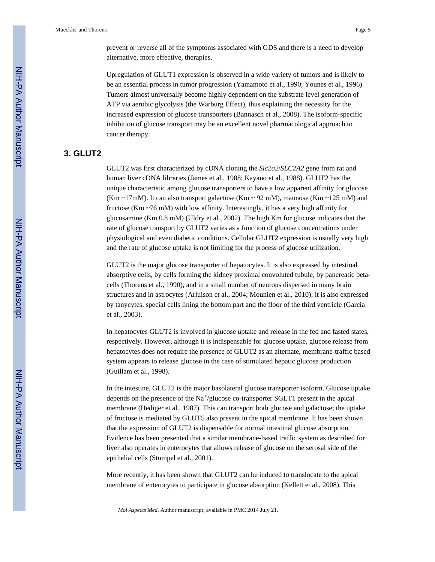prevent or reverse all of the symptoms associated with GDS and there is a need to develop alternative, more effective, therapies.

Upregulation of GLUT1 expression is observed in a wide variety of tumors and is likely to be an essential process in tumor progression (Yamamoto et al., 1990; Younes et al., 1996). Tumors almost universally become highly dependent on the substrate level generation of ATP via aerobic glycolysis (the Warburg Effect), thus explaining the necessity for the increased expression of glucose transporters (Bannasch et al., 2008). The isoform-specific inhibition of glucose transport may be an excellent novel pharmacological approach to cancer therapy.

## **3. GLUT2**

GLUT2 was first characterized by cDNA cloning the *Slc2a2*/*SLC2A2* gene from rat and human liver cDNA libraries (James et al., 1988; Kayano et al., 1988). GLUT2 has the unique characteristic among glucose transporters to have a low apparent affinity for glucose (Km ~17mM). It can also transport galactose (Km ~ 92 mM), mannose (Km ~ 125 mM) and fructose (Km ~76 mM) with low affinity. Interestingly, it has a very high affinity for glucosamine (Km 0.8 mM) (Uldry et al., 2002). The high Km for glucose indicates that the rate of glucose transport by GLUT2 varies as a function of glucose concentrations under physiological and even diabetic conditions. Cellular GLUT2 expression is usually very high and the rate of glucose uptake is not limiting for the process of glucose utilization.

GLUT2 is the major glucose transporter of hepatocytes. It is also expressed by intestinal absorptive cells, by cells forming the kidney proximal convoluted tubule, by pancreatic betacells (Thorens et al., 1990), and in a small number of neurons dispersed in many brain structures and in astrocytes (Arluison et al., 2004; Mounien et al., 2010); it is also expressed by tanycytes, special cells lining the bottom part and the floor of the third ventricle (Garcia et al., 2003).

In hepatocytes GLUT2 is involved in glucose uptake and release in the fed and fasted states, respectively. However, although it is indispensable for glucose uptake, glucose release from hepatocytes does not require the presence of GLUT2 as an alternate, membrane-traffic based system appears to release glucose in the case of stimulated hepatic glucose production (Guillam et al., 1998).

In the intestine, GLUT2 is the major basolateral glucose transporter isoform. Glucose uptake depends on the presence of the Na<sup>+</sup>/glucose co-transporter SGLT1 present in the apical membrane (Hediger et al., 1987). This can transport both glucose and galactose; the uptake of fructose is mediated by GLUT5 also present in the apical membrane. It has been shown that the expression of GLUT2 is dispensable for normal intestinal glucose absorption. Evidence has been presented that a similar membrane-based traffic system as described for liver also operates in enterocytes that allows release of glucose on the serosal side of the epithelial cells (Stumpel et al., 2001).

More recently, it has been shown that GLUT2 can be induced to translocate to the apical membrane of enterocytes to participate in glucose absorption (Kellett et al., 2008). This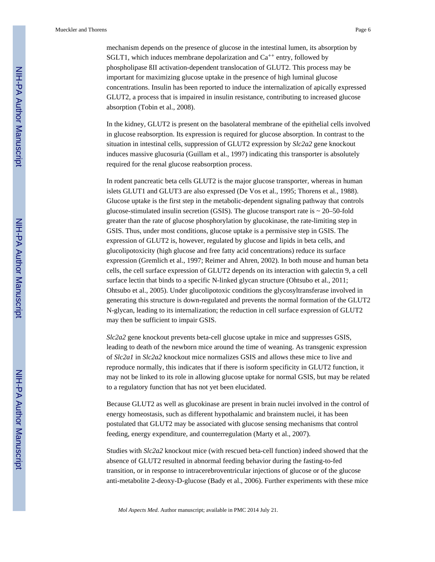mechanism depends on the presence of glucose in the intestinal lumen, its absorption by SGLT1, which induces membrane depolarization and  $Ca^{++}$  entry, followed by phospholipase ßII activation-dependent translocation of GLUT2. This process may be important for maximizing glucose uptake in the presence of high luminal glucose concentrations. Insulin has been reported to induce the internalization of apically expressed GLUT2, a process that is impaired in insulin resistance, contributing to increased glucose absorption (Tobin et al., 2008).

In the kidney, GLUT2 is present on the basolateral membrane of the epithelial cells involved in glucose reabsorption. Its expression is required for glucose absorption. In contrast to the situation in intestinal cells, suppression of GLUT2 expression by *Slc2a2* gene knockout induces massive glucosuria (Guillam et al., 1997) indicating this transporter is absolutely required for the renal glucose reabsorption process.

In rodent pancreatic beta cells GLUT2 is the major glucose transporter, whereas in human islets GLUT1 and GLUT3 are also expressed (De Vos et al., 1995; Thorens et al., 1988). Glucose uptake is the first step in the metabolic-dependent signaling pathway that controls glucose-stimulated insulin secretion (GSIS). The glucose transport rate is  $\sim$  20–50-fold greater than the rate of glucose phosphorylation by glucokinase, the rate-limiting step in GSIS. Thus, under most conditions, glucose uptake is a permissive step in GSIS. The expression of GLUT2 is, however, regulated by glucose and lipids in beta cells, and glucolipotoxicity (high glucose and free fatty acid concentrations) reduce its surface expression (Gremlich et al., 1997; Reimer and Ahren, 2002). In both mouse and human beta cells, the cell surface expression of GLUT2 depends on its interaction with galectin 9, a cell surface lectin that binds to a specific N-linked glycan structure (Ohtsubo et al., 2011; Ohtsubo et al., 2005). Under glucolipotoxic conditions the glycosyltransferase involved in generating this structure is down-regulated and prevents the normal formation of the GLUT2 N-glycan, leading to its internalization; the reduction in cell surface expression of GLUT2 may then be sufficient to impair GSIS.

*Slc2a2* gene knockout prevents beta-cell glucose uptake in mice and suppresses GSIS, leading to death of the newborn mice around the time of weaning. As transgenic expression of *Slc2a1* in *Slc2a2* knockout mice normalizes GSIS and allows these mice to live and reproduce normally, this indicates that if there is isoform specificity in GLUT2 function, it may not be linked to its role in allowing glucose uptake for normal GSIS, but may be related to a regulatory function that has not yet been elucidated.

Because GLUT2 as well as glucokinase are present in brain nuclei involved in the control of energy homeostasis, such as different hypothalamic and brainstem nuclei, it has been postulated that GLUT2 may be associated with glucose sensing mechanisms that control feeding, energy expenditure, and counterregulation (Marty et al., 2007).

Studies with *Slc2a2* knockout mice (with rescued beta-cell function) indeed showed that the absence of GLUT2 resulted in abnormal feeding behavior during the fasting-to-fed transition, or in response to intracerebroventricular injections of glucose or of the glucose anti-metabolite 2-deoxy-D-glucose (Bady et al., 2006). Further experiments with these mice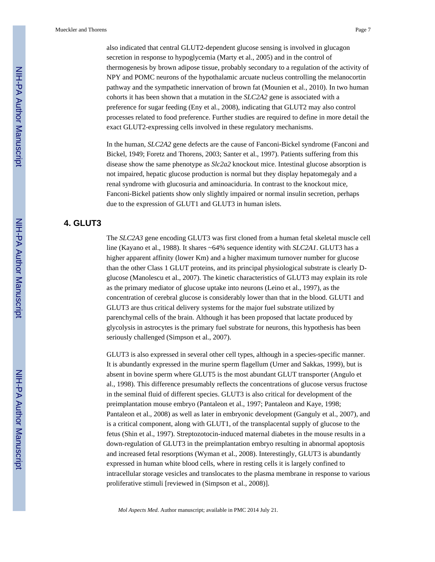also indicated that central GLUT2-dependent glucose sensing is involved in glucagon secretion in response to hypoglycemia (Marty et al., 2005) and in the control of thermogenesis by brown adipose tissue, probably secondary to a regulation of the activity of NPY and POMC neurons of the hypothalamic arcuate nucleus controlling the melanocortin pathway and the sympathetic innervation of brown fat (Mounien et al., 2010). In two human cohorts it has been shown that a mutation in the *SLC2A2* gene is associated with a preference for sugar feeding (Eny et al., 2008), indicating that GLUT2 may also control processes related to food preference. Further studies are required to define in more detail the exact GLUT2-expressing cells involved in these regulatory mechanisms.

In the human, *SLC2A2* gene defects are the cause of Fanconi-Bickel syndrome (Fanconi and Bickel, 1949; Foretz and Thorens, 2003; Santer et al., 1997). Patients suffering from this disease show the same phenotype as *Slc2a2* knockout mice. Intestinal glucose absorption is not impaired, hepatic glucose production is normal but they display hepatomegaly and a renal syndrome with glucosuria and aminoaciduria. In contrast to the knockout mice, Fanconi-Bickel patients show only slightly impaired or normal insulin secretion, perhaps due to the expression of GLUT1 and GLUT3 in human islets.

## **4. GLUT3**

The *SLC2A3* gene encoding GLUT3 was first cloned from a human fetal skeletal muscle cell line (Kayano et al., 1988). It shares ~64% sequence identity with *SLC2A1*. GLUT3 has a higher apparent affinity (lower Km) and a higher maximum turnover number for glucose than the other Class 1 GLUT proteins, and its principal physiological substrate is clearly Dglucose (Manolescu et al., 2007). The kinetic characteristics of GLUT3 may explain its role as the primary mediator of glucose uptake into neurons (Leino et al., 1997), as the concentration of cerebral glucose is considerably lower than that in the blood. GLUT1 and GLUT3 are thus critical delivery systems for the major fuel substrate utilized by parenchymal cells of the brain. Although it has been proposed that lactate produced by glycolysis in astrocytes is the primary fuel substrate for neurons, this hypothesis has been seriously challenged (Simpson et al., 2007).

GLUT3 is also expressed in several other cell types, although in a species-specific manner. It is abundantly expressed in the murine sperm flagellum (Urner and Sakkas, 1999), but is absent in bovine sperm where GLUT5 is the most abundant GLUT transporter (Angulo et al., 1998). This difference presumably reflects the concentrations of glucose versus fructose in the seminal fluid of different species. GLUT3 is also critical for development of the preimplantation mouse embryo (Pantaleon et al., 1997; Pantaleon and Kaye, 1998; Pantaleon et al., 2008) as well as later in embryonic development (Ganguly et al., 2007), and is a critical component, along with GLUT1, of the transplacental supply of glucose to the fetus (Shin et al., 1997). Streptozotocin-induced maternal diabetes in the mouse results in a down-regulation of GLUT3 in the preimplantation embryo resulting in abnormal apoptosis and increased fetal resorptions (Wyman et al., 2008). Interestingly, GLUT3 is abundantly expressed in human white blood cells, where in resting cells it is largely confined to intracellular storage vesicles and translocates to the plasma membrane in response to various proliferative stimuli [reviewed in (Simpson et al., 2008)].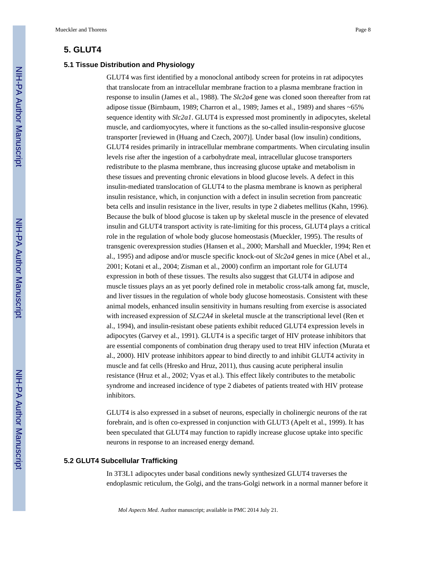### **5. GLUT4**

#### **5.1 Tissue Distribution and Physiology**

GLUT4 was first identified by a monoclonal antibody screen for proteins in rat adipocytes that translocate from an intracellular membrane fraction to a plasma membrane fraction in response to insulin (James et al., 1988). The *Slc2a4* gene was cloned soon thereafter from rat adipose tissue (Birnbaum, 1989; Charron et al., 1989; James et al., 1989) and shares ~65% sequence identity with *Slc2a1*. GLUT4 is expressed most prominently in adipocytes, skeletal muscle, and cardiomyocytes, where it functions as the so-called insulin-responsive glucose transporter [reviewed in (Huang and Czech, 2007)]. Under basal (low insulin) conditions, GLUT4 resides primarily in intracellular membrane compartments. When circulating insulin levels rise after the ingestion of a carbohydrate meal, intracellular glucose transporters redistribute to the plasma membrane, thus increasing glucose uptake and metabolism in these tissues and preventing chronic elevations in blood glucose levels. A defect in this insulin-mediated translocation of GLUT4 to the plasma membrane is known as peripheral insulin resistance, which, in conjunction with a defect in insulin secretion from pancreatic beta cells and insulin resistance in the liver, results in type 2 diabetes mellitus (Kahn, 1996). Because the bulk of blood glucose is taken up by skeletal muscle in the presence of elevated insulin and GLUT4 transport activity is rate-limiting for this process, GLUT4 plays a critical role in the regulation of whole body glucose homeostasis (Mueckler, 1995). The results of transgenic overexpression studies (Hansen et al., 2000; Marshall and Mueckler, 1994; Ren et al., 1995) and adipose and/or muscle specific knock-out of *Slc2a4* genes in mice (Abel et al., 2001; Kotani et al., 2004; Zisman et al., 2000) confirm an important role for GLUT4 expression in both of these tissues. The results also suggest that GLUT4 in adipose and muscle tissues plays an as yet poorly defined role in metabolic cross-talk among fat, muscle, and liver tissues in the regulation of whole body glucose homeostasis. Consistent with these animal models, enhanced insulin sensitivity in humans resulting from exercise is associated with increased expression of *SLC2A4* in skeletal muscle at the transcriptional level (Ren et al., 1994), and insulin-resistant obese patients exhibit reduced GLUT4 expression levels in adipocytes (Garvey et al., 1991). GLUT4 is a specific target of HIV protease inhibitors that are essential components of combination drug therapy used to treat HIV infection (Murata et al., 2000). HIV protease inhibitors appear to bind directly to and inhibit GLUT4 activity in muscle and fat cells (Hresko and Hruz, 2011), thus causing acute peripheral insulin resistance (Hruz et al., 2002; Vyas et al.). This effect likely contributes to the metabolic syndrome and increased incidence of type 2 diabetes of patients treated with HIV protease inhibitors.

GLUT4 is also expressed in a subset of neurons, especially in cholinergic neurons of the rat forebrain, and is often co-expressed in conjunction with GLUT3 (Apelt et al., 1999). It has been speculated that GLUT4 may function to rapidly increase glucose uptake into specific neurons in response to an increased energy demand.

#### **5.2 GLUT4 Subcellular Trafficking**

In 3T3L1 adipocytes under basal conditions newly synthesized GLUT4 traverses the endoplasmic reticulum, the Golgi, and the trans-Golgi network in a normal manner before it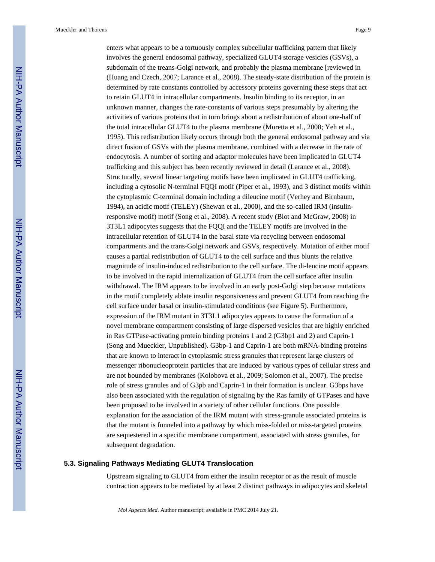enters what appears to be a tortuously complex subcellular trafficking pattern that likely involves the general endosomal pathway, specialized GLUT4 storage vesicles (GSVs), a subdomain of the treans-Golgi network, and probably the plasma membrane [reviewed in (Huang and Czech, 2007; Larance et al., 2008). The steady-state distribution of the protein is determined by rate constants controlled by accessory proteins governing these steps that act to retain GLUT4 in intracellular compartments. Insulin binding to its receptor, in an unknown manner, changes the rate-constants of various steps presumably by altering the activities of various proteins that in turn brings about a redistribution of about one-half of the total intracellular GLUT4 to the plasma membrane (Muretta et al., 2008; Yeh et al., 1995). This redistribution likely occurs through both the general endosomal pathway and via direct fusion of GSVs with the plasma membrane, combined with a decrease in the rate of endocytosis. A number of sorting and adaptor molecules have been implicated in GLUT4 trafficking and this subject has been recently reviewed in detail (Larance et al., 2008). Structurally, several linear targeting motifs have been implicated in GLUT4 trafficking, including a cytosolic N-terminal FQQI motif (Piper et al., 1993), and 3 distinct motifs within the cytoplasmic C-terminal domain including a dileucine motif (Verhey and Birnbaum, 1994), an acidic motif (TELEY) (Shewan et al., 2000), and the so-called IRM (insulinresponsive motif) motif (Song et al., 2008). A recent study (Blot and McGraw, 2008) in 3T3L1 adipocytes suggests that the FQQI and the TELEY motifs are involved in the intracellular retention of GLUT4 in the basal state via recycling between endosomal compartments and the trans-Golgi network and GSVs, respectively. Mutation of either motif causes a partial redistribution of GLUT4 to the cell surface and thus blunts the relative magnitude of insulin-induced redistribution to the cell surface. The di-leucine motif appears to be involved in the rapid internalization of GLUT4 from the cell surface after insulin withdrawal. The IRM appears to be involved in an early post-Golgi step because mutations in the motif completely ablate insulin responsiveness and prevent GLUT4 from reaching the cell surface under basal or insulin-stimulated conditions (see Figure 5). Furthermore, expression of the IRM mutant in 3T3L1 adipocytes appears to cause the formation of a novel membrane compartment consisting of large dispersed vesicles that are highly enriched in Ras GTPase-activating protein binding proteins 1 and 2 (G3bp1 and 2) and Caprin-1 (Song and Mueckler, Unpublished). G3bp-1 and Caprin-1 are both mRNA-binding proteins that are known to interact in cytoplasmic stress granules that represent large clusters of messenger ribonucleoprotein particles that are induced by various types of cellular stress and are not bounded by membranes (Kolobova et al., 2009; Solomon et al., 2007). The precise role of stress granules and of G3pb and Caprin-1 in their formation is unclear. G3bps have also been associated with the regulation of signaling by the Ras family of GTPases and have been proposed to be involved in a variety of other cellular functions. One possible explanation for the association of the IRM mutant with stress-granule associated proteins is that the mutant is funneled into a pathway by which miss-folded or miss-targeted proteins are sequestered in a specific membrane compartment, associated with stress granules, for subsequent degradation.

#### **5.3. Signaling Pathways Mediating GLUT4 Translocation**

Upstream signaling to GLUT4 from either the insulin receptor or as the result of muscle contraction appears to be mediated by at least 2 distinct pathways in adipocytes and skeletal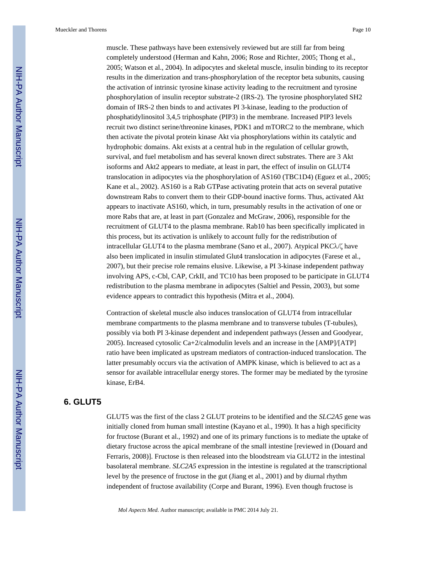muscle. These pathways have been extensively reviewed but are still far from being completely understood (Herman and Kahn, 2006; Rose and Richter, 2005; Thong et al., 2005; Watson et al., 2004). In adipocytes and skeletal muscle, insulin binding to its receptor results in the dimerization and trans-phosphorylation of the receptor beta subunits, causing the activation of intrinsic tyrosine kinase activity leading to the recruitment and tyrosine phosphorylation of insulin receptor substrate-2 (IRS-2). The tyrosine phosphorylated SH2 domain of IRS-2 then binds to and activates PI 3-kinase, leading to the production of phosphatidylinositol 3,4,5 triphosphate (PIP3) in the membrane. Increased PIP3 levels recruit two distinct serine/threonine kinases, PDK1 and mTORC2 to the membrane, which then activate the pivotal protein kinase Akt via phosphorylations within its catalytic and hydrophobic domains. Akt exists at a central hub in the regulation of cellular growth, survival, and fuel metabolism and has several known direct substrates. There are 3 Akt isoforms and Akt2 appears to mediate, at least in part, the effect of insulin on GLUT4 translocation in adipocytes via the phosphorylation of AS160 (TBC1D4) (Eguez et al., 2005; Kane et al., 2002). AS160 is a Rab GTPase activating protein that acts on several putative downstream Rabs to convert them to their GDP-bound inactive forms. Thus, activated Akt appears to inactivate AS160, which, in turn, presumably results in the activation of one or more Rabs that are, at least in part (Gonzalez and McGraw, 2006), responsible for the recruitment of GLUT4 to the plasma membrane. Rab10 has been specifically implicated in this process, but its activation is unlikely to account fully for the redistribution of intracellular GLUT4 to the plasma membrane (Sano et al., 2007). Atypical PKCλ/ζ have also been implicated in insulin stimulated Glut4 translocation in adipocytes (Farese et al., 2007), but their precise role remains elusive. Likewise, a PI 3-kinase independent pathway involving APS, c-Cbl, CAP, CrkII, and TC10 has been proposed to be participate in GLUT4 redistribution to the plasma membrane in adipocytes (Saltiel and Pessin, 2003), but some evidence appears to contradict this hypothesis (Mitra et al., 2004).

Contraction of skeletal muscle also induces translocation of GLUT4 from intracellular membrane compartments to the plasma membrane and to transverse tubules (T-tubules), possibly via both PI 3-kinase dependent and independent pathways (Jessen and Goodyear, 2005). Increased cytosolic Ca+2/calmodulin levels and an increase in the [AMP]/[ATP] ratio have been implicated as upstream mediators of contraction-induced translocation. The latter presumably occurs via the activation of AMPK kinase, which is believed to act as a sensor for available intracellular energy stores. The former may be mediated by the tyrosine kinase, ErB4.

## **6. GLUT5**

GLUT5 was the first of the class 2 GLUT proteins to be identified and the *SLC2A5* gene was initially cloned from human small intestine (Kayano et al., 1990). It has a high specificity for fructose (Burant et al., 1992) and one of its primary functions is to mediate the uptake of dietary fructose across the apical membrane of the small intestine [reviewed in (Douard and Ferraris, 2008)]. Fructose is then released into the bloodstream via GLUT2 in the intestinal basolateral membrane. *SLC2A5* expression in the intestine is regulated at the transcriptional level by the presence of fructose in the gut (Jiang et al., 2001) and by diurnal rhythm independent of fructose availability (Corpe and Burant, 1996). Even though fructose is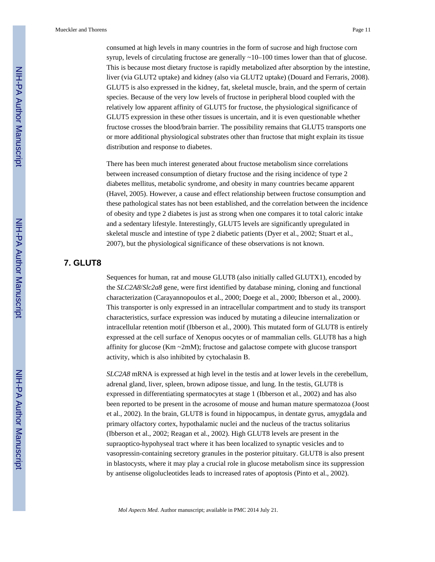consumed at high levels in many countries in the form of sucrose and high fructose corn syrup, levels of circulating fructose are generally  $\sim$ 10–100 times lower than that of glucose. This is because most dietary fructose is rapidly metabolized after absorption by the intestine, liver (via GLUT2 uptake) and kidney (also via GLUT2 uptake) (Douard and Ferraris, 2008). GLUT5 is also expressed in the kidney, fat, skeletal muscle, brain, and the sperm of certain species. Because of the very low levels of fructose in peripheral blood coupled with the relatively low apparent affinity of GLUT5 for fructose, the physiological significance of GLUT5 expression in these other tissues is uncertain, and it is even questionable whether fructose crosses the blood/brain barrier. The possibility remains that GLUT5 transports one or more additional physiological substrates other than fructose that might explain its tissue distribution and response to diabetes.

There has been much interest generated about fructose metabolism since correlations between increased consumption of dietary fructose and the rising incidence of type 2 diabetes mellitus, metabolic syndrome, and obesity in many countries became apparent (Havel, 2005). However, a cause and effect relationship between fructose consumption and these pathological states has not been established, and the correlation between the incidence of obesity and type 2 diabetes is just as strong when one compares it to total caloric intake and a sedentary lifestyle. Interestingly, GLUT5 levels are significantly upregulated in skeletal muscle and intestine of type 2 diabetic patients (Dyer et al., 2002; Stuart et al., 2007), but the physiological significance of these observations is not known.

## **7. GLUT8**

Sequences for human, rat and mouse GLUT8 (also initially called GLUTX1), encoded by the *SLC2A8*/*Slc2a8* gene, were first identified by database mining, cloning and functional characterization (Carayannopoulos et al., 2000; Doege et al., 2000; Ibberson et al., 2000). This transporter is only expressed in an intracellular compartment and to study its transport characteristics, surface expression was induced by mutating a dileucine internalization or intracellular retention motif (Ibberson et al., 2000). This mutated form of GLUT8 is entirely expressed at the cell surface of Xenopus oocytes or of mammalian cells. GLUT8 has a high affinity for glucose (Km  $\sim$ 2mM); fructose and galactose compete with glucose transport activity, which is also inhibited by cytochalasin B.

*SLC2A8* mRNA is expressed at high level in the testis and at lower levels in the cerebellum, adrenal gland, liver, spleen, brown adipose tissue, and lung. In the testis, GLUT8 is expressed in differentiating spermatocytes at stage 1 (Ibberson et al., 2002) and has also been reported to be present in the acrosome of mouse and human mature spermatozoa (Joost et al., 2002). In the brain, GLUT8 is found in hippocampus, in dentate gyrus, amygdala and primary olfactory cortex, hypothalamic nuclei and the nucleus of the tractus solitarius (Ibberson et al., 2002; Reagan et al., 2002). High GLUT8 levels are present in the supraoptico-hypohyseal tract where it has been localized to synaptic vesicles and to vasopressin-containing secretory granules in the posterior pituitary. GLUT8 is also present in blastocysts, where it may play a crucial role in glucose metabolism since its suppression by antisense oligolucleotides leads to increased rates of apoptosis (Pinto et al., 2002).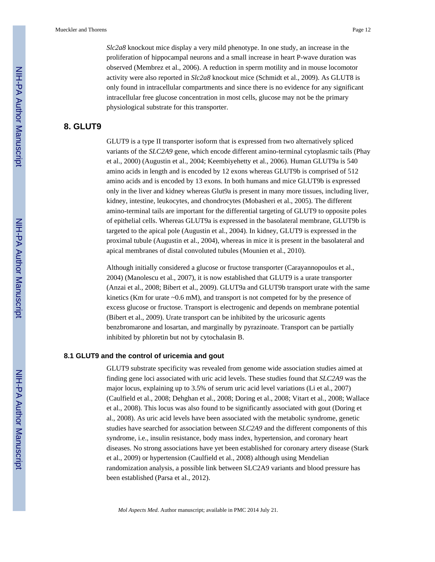*Slc2a8* knockout mice display a very mild phenotype. In one study, an increase in the proliferation of hippocampal neurons and a small increase in heart P-wave duration was observed (Membrez et al., 2006). A reduction in sperm motility and in mouse locomotor activity were also reported in *Slc2a8* knockout mice (Schmidt et al., 2009). As GLUT8 is only found in intracellular compartments and since there is no evidence for any significant intracellular free glucose concentration in most cells, glucose may not be the primary physiological substrate for this transporter.

## **8. GLUT9**

GLUT9 is a type II transporter isoform that is expressed from two alternatively spliced variants of the *SLC2A9* gene, which encode different amino-terminal cytoplasmic tails (Phay et al., 2000) (Augustin et al., 2004; Keembiyehetty et al., 2006). Human GLUT9a is 540 amino acids in length and is encoded by 12 exons whereas GLUT9b is comprised of 512 amino acids and is encoded by 13 exons. In both humans and mice GLUT9b is expressed only in the liver and kidney whereas Glut9a is present in many more tissues, including liver, kidney, intestine, leukocytes, and chondrocytes (Mobasheri et al., 2005). The different amino-terminal tails are important for the differential targeting of GLUT9 to opposite poles of epithelial cells. Whereas GLUT9a is expressed in the basolateral membrane, GLUT9b is targeted to the apical pole (Augustin et al., 2004). In kidney, GLUT9 is expressed in the proximal tubule (Augustin et al., 2004), whereas in mice it is present in the basolateral and apical membranes of distal convoluted tubules (Mounien et al., 2010).

Although initially considered a glucose or fructose transporter (Carayannopoulos et al., 2004) (Manolescu et al., 2007), it is now established that GLUT9 is a urate transporter (Anzai et al., 2008; Bibert et al., 2009). GLUT9a and GLUT9b transport urate with the same kinetics (Km for urate  $\sim 0.6$  mM), and transport is not competed for by the presence of excess glucose or fructose. Transport is electrogenic and depends on membrane potential (Bibert et al., 2009). Urate transport can be inhibited by the uricosuric agents benzbromarone and losartan, and marginally by pyrazinoate. Transport can be partially inhibited by phloretin but not by cytochalasin B.

#### **8.1 GLUT9 and the control of uricemia and gout**

GLUT9 substrate specificity was revealed from genome wide association studies aimed at finding gene loci associated with uric acid levels. These studies found that *SLC2A9* was the major locus, explaining up to 3.5% of serum uric acid level variations (Li et al., 2007) (Caulfield et al., 2008; Dehghan et al., 2008; Doring et al., 2008; Vitart et al., 2008; Wallace et al., 2008). This locus was also found to be significantly associated with gout (Doring et al., 2008). As uric acid levels have been associated with the metabolic syndrome, genetic studies have searched for association between *SLC2A9* and the different components of this syndrome, i.e., insulin resistance, body mass index, hypertension, and coronary heart diseases. No strong associations have yet been established for coronary artery disease (Stark et al., 2009) or hypertension (Caulfield et al., 2008) although using Mendelian randomization analysis, a possible link between SLC2A9 variants and blood pressure has been established (Parsa et al., 2012).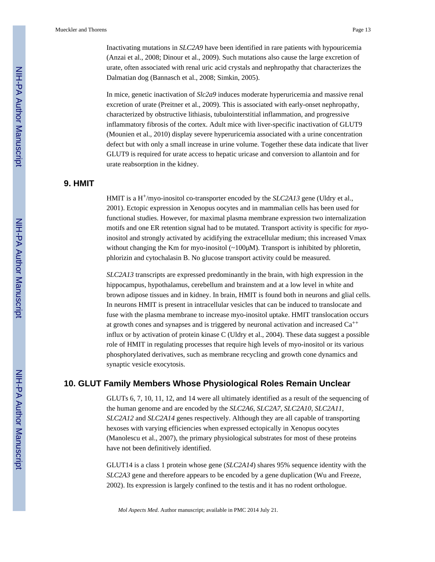Inactivating mutations in *SLC2A9* have been identified in rare patients with hypouricemia (Anzai et al., 2008; Dinour et al., 2009). Such mutations also cause the large excretion of urate, often associated with renal uric acid crystals and nephropathy that characterizes the Dalmatian dog (Bannasch et al., 2008; Simkin, 2005).

In mice, genetic inactivation of *Slc2a9* induces moderate hyperuricemia and massive renal excretion of urate (Preitner et al., 2009). This is associated with early-onset nephropathy, characterized by obstructive lithiasis, tubulointerstitial inflammation, and progressive inflammatory fibrosis of the cortex. Adult mice with liver-specific inactivation of GLUT9 (Mounien et al., 2010) display severe hyperuricemia associated with a urine concentration defect but with only a small increase in urine volume. Together these data indicate that liver GLUT9 is required for urate access to hepatic uricase and conversion to allantoin and for urate reabsorption in the kidney.

## **9. HMIT**

HMIT is a H+/myo-inositol co-transporter encoded by the *SLC2A13* gene (Uldry et al., 2001). Ectopic expression in Xenopus oocytes and in mammalian cells has been used for functional studies. However, for maximal plasma membrane expression two internalization motifs and one ER retention signal had to be mutated. Transport activity is specific for *myo*inositol and strongly activated by acidifying the extracellular medium; this increased Vmax without changing the Km for myo-inositol  $\sim$  100 $\mu$ M). Transport is inhibited by phloretin, phlorizin and cytochalasin B. No glucose transport activity could be measured.

*SLC2A13* transcripts are expressed predominantly in the brain, with high expression in the hippocampus, hypothalamus, cerebellum and brainstem and at a low level in white and brown adipose tissues and in kidney. In brain, HMIT is found both in neurons and glial cells. In neurons HMIT is present in intracellular vesicles that can be induced to translocate and fuse with the plasma membrane to increase myo-inositol uptake. HMIT translocation occurs at growth cones and synapses and is triggered by neuronal activation and increased  $Ca^{++}$ influx or by activation of protein kinase C (Uldry et al., 2004). These data suggest a possible role of HMIT in regulating processes that require high levels of myo-inositol or its various phosphorylated derivatives, such as membrane recycling and growth cone dynamics and synaptic vesicle exocytosis.

## **10. GLUT Family Members Whose Physiological Roles Remain Unclear**

GLUTs 6, 7, 10, 11, 12, and 14 were all ultimately identified as a result of the sequencing of the human genome and are encoded by the *SLC2A6*, *SLC2A7*, *SLC2A10*, *SLC2A11*, *SLC2A12* and *SLC2A14* genes respectively. Although they are all capable of transporting hexoses with varying efficiencies when expressed ectopically in Xenopus oocytes (Manolescu et al., 2007), the primary physiological substrates for most of these proteins have not been definitively identified.

GLUT14 is a class 1 protein whose gene (*SLC2A14*) shares 95% sequence identity with the *SLC2A3* gene and therefore appears to be encoded by a gene duplication (Wu and Freeze, 2002). Its expression is largely confined to the testis and it has no rodent orthologue.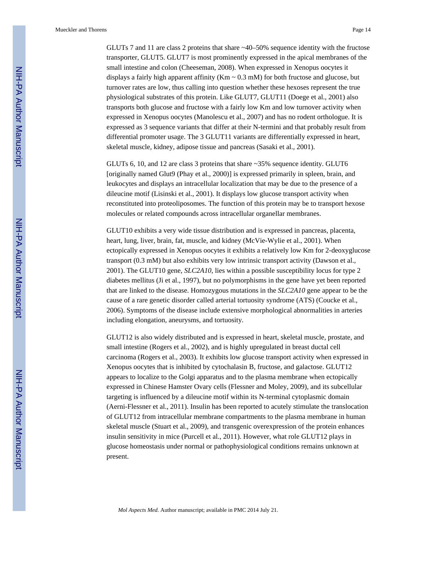GLUTs 7 and 11 are class 2 proteins that share ~40–50% sequence identity with the fructose transporter, GLUT5. GLUT7 is most prominently expressed in the apical membranes of the small intestine and colon (Cheeseman, 2008). When expressed in Xenopus oocytes it displays a fairly high apparent affinity ( $Km \sim 0.3$  mM) for both fructose and glucose, but turnover rates are low, thus calling into question whether these hexoses represent the true physiological substrates of this protein. Like GLUT7, GLUT11 (Doege et al., 2001) also transports both glucose and fructose with a fairly low Km and low turnover activity when expressed in Xenopus oocytes (Manolescu et al., 2007) and has no rodent orthologue. It is expressed as 3 sequence variants that differ at their N-termini and that probably result from differential promoter usage. The 3 GLUT11 variants are differentially expressed in heart, skeletal muscle, kidney, adipose tissue and pancreas (Sasaki et al., 2001).

GLUTs 6, 10, and 12 are class 3 proteins that share ~35% sequence identity. GLUT6 [originally named Glut9 (Phay et al., 2000)] is expressed primarily in spleen, brain, and leukocytes and displays an intracellular localization that may be due to the presence of a dileucine motif (Lisinski et al., 2001). It displays low glucose transport activity when reconstituted into proteoliposomes. The function of this protein may be to transport hexose molecules or related compounds across intracellular organellar membranes.

GLUT10 exhibits a very wide tissue distribution and is expressed in pancreas, placenta, heart, lung, liver, brain, fat, muscle, and kidney (McVie-Wylie et al., 2001). When ectopically expressed in Xenopus oocytes it exhibits a relatively low Km for 2-deoxyglucose transport (0.3 mM) but also exhibits very low intrinsic transport activity (Dawson et al., 2001). The GLUT10 gene, *SLC2A10*, lies within a possible susceptibility locus for type 2 diabetes mellitus (Ji et al., 1997), but no polymorphisms in the gene have yet been reported that are linked to the disease. Homozygous mutations in the *SLC2A10* gene appear to be the cause of a rare genetic disorder called arterial tortuosity syndrome (ATS) (Coucke et al., 2006). Symptoms of the disease include extensive morphological abnormalities in arteries including elongation, aneurysms, and tortuosity.

GLUT12 is also widely distributed and is expressed in heart, skeletal muscle, prostate, and small intestine (Rogers et al., 2002), and is highly upregulated in breast ductal cell carcinoma (Rogers et al., 2003). It exhibits low glucose transport activity when expressed in Xenopus oocytes that is inhibited by cytochalasin B, fructose, and galactose. GLUT12 appears to localize to the Golgi apparatus and to the plasma membrane when ectopically expressed in Chinese Hamster Ovary cells (Flessner and Moley, 2009), and its subcellular targeting is influenced by a dileucine motif within its N-terminal cytoplasmic domain (Aerni-Flessner et al., 2011). Insulin has been reported to acutely stimulate the translocation of GLUT12 from intracellular membrane compartments to the plasma membrane in human skeletal muscle (Stuart et al., 2009), and transgenic overexpression of the protein enhances insulin sensitivity in mice (Purcell et al., 2011). However, what role GLUT12 plays in glucose homeostasis under normal or pathophysiological conditions remains unknown at present.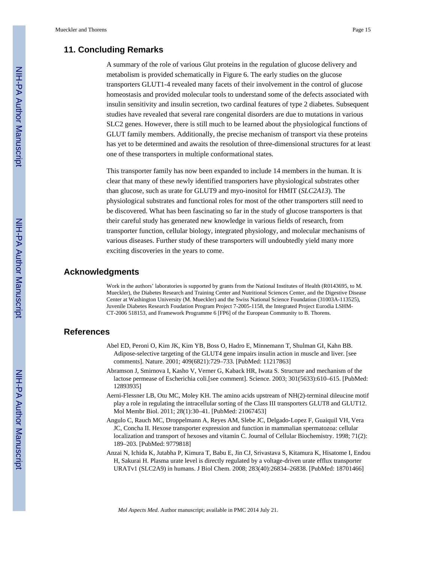## **11. Concluding Remarks**

A summary of the role of various Glut proteins in the regulation of glucose delivery and metabolism is provided schematically in Figure 6. The early studies on the glucose transporters GLUT1-4 revealed many facets of their involvement in the control of glucose homeostasis and provided molecular tools to understand some of the defects associated with insulin sensitivity and insulin secretion, two cardinal features of type 2 diabetes. Subsequent studies have revealed that several rare congenital disorders are due to mutations in various SLC2 genes. However, there is still much to be learned about the physiological functions of GLUT family members. Additionally, the precise mechanism of transport via these proteins has yet to be determined and awaits the resolution of three-dimensional structures for at least one of these transporters in multiple conformational states.

This transporter family has now been expanded to include 14 members in the human. It is clear that many of these newly identified transporters have physiological substrates other than glucose, such as urate for GLUT9 and myo-inositol for HMIT (*SLC2A13*). The physiological substrates and functional roles for most of the other transporters still need to be discovered. What has been fascinating so far in the study of glucose transporters is that their careful study has generated new knowledge in various fields of research, from transporter function, cellular biology, integrated physiology, and molecular mechanisms of various diseases. Further study of these transporters will undoubtedly yield many more exciting discoveries in the years to come.

#### **Acknowledgments**

Work in the authors' laboratories is supported by grants from the National Institutes of Health (R0143695, to M. Mueckler), the Diabetes Research and Training Center and Nutritional Sciences Center, and the Digestive Disease Center at Washington University (M. Mueckler) and the Swiss National Science Foundation (31003A-113525), Juvenile Diabetes Research Foudation Program Project 7-2005-1158, the Integrated Project Eurodia LSHM-CT-2006 518153, and Framework Programme 6 [FP6] of the European Community to B. Thorens.

#### **References**

- Abel ED, Peroni O, Kim JK, Kim YB, Boss O, Hadro E, Minnemann T, Shulman GI, Kahn BB. Adipose-selective targeting of the GLUT4 gene impairs insulin action in muscle and liver. [see comments]. Nature. 2001; 409(6821):729–733. [PubMed: 11217863]
- Abramson J, Smirnova I, Kasho V, Verner G, Kaback HR, Iwata S. Structure and mechanism of the lactose permease of Escherichia coli.[see comment]. Science. 2003; 301(5633):610–615. [PubMed: 12893935]
- Aerni-Flessner LB, Otu MC, Moley KH. The amino acids upstream of NH(2)-terminal dileucine motif play a role in regulating the intracellular sorting of the Class III transporters GLUT8 and GLUT12. Mol Membr Biol. 2011; 28(1):30–41. [PubMed: 21067453]
- Angulo C, Rauch MC, Droppelmann A, Reyes AM, Slebe JC, Delgado-Lopez F, Guaiquil VH, Vera JC, Concha II. Hexose transporter expression and function in mammalian spermatozoa: cellular localization and transport of hexoses and vitamin C. Journal of Cellular Biochemistry. 1998; 71(2): 189–203. [PubMed: 9779818]
- Anzai N, Ichida K, Jutabha P, Kimura T, Babu E, Jin CJ, Srivastava S, Kitamura K, Hisatome I, Endou H, Sakurai H. Plasma urate level is directly regulated by a voltage-driven urate efflux transporter URATv1 (SLC2A9) in humans. J Biol Chem. 2008; 283(40):26834–26838. [PubMed: 18701466]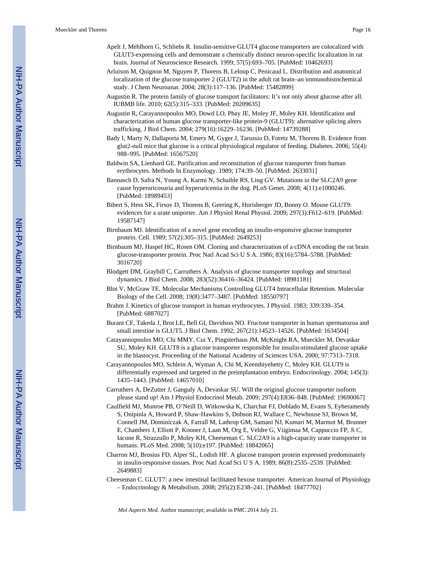- Apelt J, Mehlhorn G, Schliebs R. Insulin-sensitive GLUT4 glucose transporters are colocalized with GLUT3-expressing cells and demonstrate a chemically distinct neuron-specific localization in rat brain. Journal of Neuroscience Research. 1999; 57(5):693–705. [PubMed: 10462693]
- Arluison M, Quignon M, Nguyen P, Thorens B, Leloup C, Penicaud L. Distribution and anatomical localization of the glucose transporter 2 (GLUT2) in the adult rat brain–an immunohistochemical study. J Chem Neuroanat. 2004; 28(3):117–136. [PubMed: 15482899]
- Augustin R. The protein family of glucose transport facilitators: It's not only about glucose after all. IUBMB life. 2010; 62(5):315–333. [PubMed: 20209635]
- Augustin R, Carayannopoulos MO, Dowd LO, Phay JE, Moley JF, Moley KH. Identification and characterization of human glucose transporter-like protein-9 (GLUT9): alternative splicing alters trafficking. J Biol Chem. 2004; 279(16):16229–16236. [PubMed: 14739288]
- Bady I, Marty N, Dallaporta M, Emery M, Gyger J, Tarussio D, Foretz M, Thorens B. Evidence from glut2-null mice that glucose is a critical physiological regulator of feeding. Diabetes. 2006; 55(4): 988–995. [PubMed: 16567520]
- Baldwin SA, Lienhard GE. Purification and reconstitution of glucose transporter from human erythrocytes. Methods In Enzymology. 1989; 174:39–50. [PubMed: 2633031]
- Bannasch D, Safra N, Young A, Karmi N, Schaible RS, Ling GV. Mutations in the SLC2A9 gene cause hyperuricosuria and hyperuricemia in the dog. PLoS Genet. 2008; 4(11):e1000246. [PubMed: 18989453]
- Bibert S, Hess SK, Firsov D, Thorens B, Geering K, Horisberger JD, Bonny O. Mouse GLUT9: evidences for a urate uniporter. Am J Physiol Renal Physiol. 2009; 297(3):F612–619. [PubMed: 19587147]
- Birnbaum MJ. Identification of a novel gene encoding an insulin-responsive glucose transporter protein. Cell. 1989; 57(2):305–315. [PubMed: 2649253]
- Birnbaum MJ, Haspel HC, Rosen OM. Cloning and characterization of a cDNA encoding the rat brain glucose-transporter protein. Proc Natl Acad Sci U S A. 1986; 83(16):5784–5788. [PubMed: 3016720]
- Blodgett DM, Graybill C, Carruthers A. Analysis of glucose transporter topology and structural dynamics. J Biol Chem. 2008; 283(52):36416–36424. [PubMed: 18981181]
- Blot V, McGraw TE. Molecular Mechanisms Controlling GLUT4 Intracellular Retention. Molecular Biology of the Cell. 2008; 19(8):3477–3487. [PubMed: 18550797]
- Brahm J. Kinetics of glucose transport in human erythrocytes. J Physiol. 1983; 339:339–354. [PubMed: 6887027]
- Burant CF, Takeda J, Brot LE, Bell GI, Davidson NO. Fructose transporter in human spermatozoa and small intestine is GLUT5. J Biol Chem. 1992; 267(21):14523–14526. [PubMed: 1634504]
- Carayannopoulos MO, Chi MMY, Cui Y, Pingsterhaus JM, McKnight RA, Mueckler M, Devaskar SU, Moley KH. GLUT8 is a glucose transporter responsible for insulin-stimulated glucose uptake in the blastocyst. Proceeding of the National Academy of Sciences USA. 2000; 97:7313–7318.
- Carayannopoulos MO, Schlein A, Wyman A, Chi M, Keembiyehetty C, Moley KH. GLUT9 is differentially expressed and targeted in the preimplantation embryo. Endocrinology. 2004; 145(3): 1435–1443. [PubMed: 14657010]
- Carruthers A, DeZutter J, Ganguly A, Devaskar SU. Will the original glucose transporter isoform please stand up! Am J Physiol Endocrinol Metab. 2009; 297(4):E836–848. [PubMed: 19690067]
- Caulfield MJ, Munroe PB, O'Neill D, Witkowska K, Charchar FJ, Doblado M, Evans S, Eyheramendy S, Onipinla A, Howard P, Shaw-Hawkins S, Dobson RJ, Wallace C, Newhouse SJ, Brown M, Connell JM, Dominiczak A, Farrall M, Lathrop GM, Samani NJ, Kumari M, Marmot M, Brunner E, Chambers J, Elliott P, Kooner J, Laan M, Org E, Veldre G, Viigimaa M, Cappuccio FP, Ji C, Iacone R, Strazzullo P, Moley KH, Cheeseman C. SLC2A9 is a high-capacity urate transporter in humans. PLoS Med. 2008; 5(10):e197. [PubMed: 18842065]
- Charron MJ, Brosius FD, Alper SL, Lodish HF. A glucose transport protein expressed predominately in insulin-responsive tissues. Proc Natl Acad Sci U S A. 1989; 86(8):2535–2539. [PubMed: 2649883]
- Cheeseman C. GLUT7: a new intestinal facilitated hexose transporter. American Journal of Physiology – Endocrinology & Metabolism. 2008; 295(2):E238–241. [PubMed: 18477702]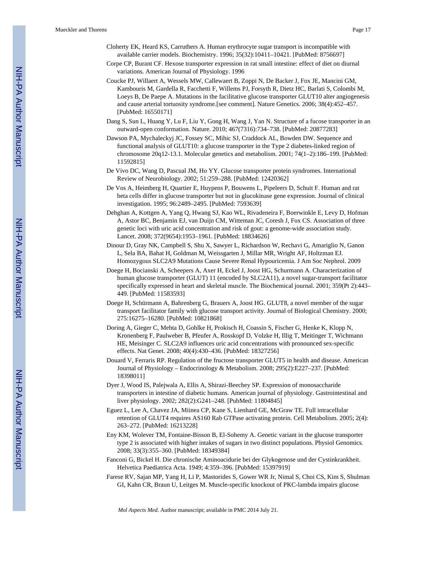- Cloherty EK, Heard KS, Carruthers A. Human erythrocyte sugar transport is incompatible with available carrier models. Biochemistry. 1996; 35(32):10411–10421. [PubMed: 8756697]
- Corpe CP, Burant CF. Hexose transporter expression in rat small intestine: effect of diet on diurnal variations. American Journal of Physiology. 1996
- Coucke PJ, Willaert A, Wessels MW, Callewaert B, Zoppi N, De Backer J, Fox JE, Mancini GM, Kambouris M, Gardella R, Facchetti F, Willems PJ, Forsyth R, Dietz HC, Barlati S, Colombi M, Loeys B, De Paepe A. Mutations in the facilitative glucose transporter GLUT10 alter angiogenesis and cause arterial tortuosity syndrome.[see comment]. Nature Genetics. 2006; 38(4):452–457. [PubMed: 16550171]
- Dang S, Sun L, Huang Y, Lu F, Liu Y, Gong H, Wang J, Yan N. Structure of a fucose transporter in an outward-open conformation. Nature. 2010; 467(7316):734–738. [PubMed: 20877283]
- Dawson PA, Mychaleckyj JC, Fossey SC, Mihic SJ, Craddock AL, Bowden DW. Sequence and functional analysis of GLUT10: a glucose transporter in the Type 2 diabetes-linked region of chromosome 20q12-13.1. Molecular genetics and metabolism. 2001; 74(1–2):186–199. [PubMed: 11592815]
- De Vivo DC, Wang D, Pascual JM, Ho YY. Glucose transporter protein syndromes. International Review of Neurobiology. 2002; 51:259–288. [PubMed: 12420362]
- De Vos A, Heimberg H, Quartier E, Huypens P, Bouwens L, Pipeleers D, Schuit F. Human and rat beta cells differ in glucose transporter but not in glucokinase gene expression. Journal of clinical investigation. 1995; 96:2489–2495. [PubMed: 7593639]
- Dehghan A, Kottgen A, Yang Q, Hwang SJ, Kao WL, Rivadeneira F, Boerwinkle E, Levy D, Hofman A, Astor BC, Benjamin EJ, van Duijn CM, Witteman JC, Coresh J, Fox CS. Association of three genetic loci with uric acid concentration and risk of gout: a genome-wide association study. Lancet. 2008; 372(9654):1953–1961. [PubMed: 18834626]
- Dinour D, Gray NK, Campbell S, Shu X, Sawyer L, Richardson W, Rechavi G, Amariglio N, Ganon L, Sela BA, Bahat H, Goldman M, Weissgarten J, Millar MR, Wright AF, Holtzman EJ. Homozygous SLC2A9 Mutations Cause Severe Renal Hypouricemia. J Am Soc Nephrol. 2009
- Doege H, Bocianski A, Scheepers A, Axer H, Eckel J, Joost HG, Schurmann A. Characterization of human glucose transporter (GLUT) 11 (encoded by SLC2A11), a novel sugar-transport facilitator specifically expressed in heart and skeletal muscle. The Biochemical journal. 2001; 359(Pt 2):443– 449. [PubMed: 11583593]
- Doege H, Schürmann A, Bahrenberg G, Brauers A, Joost HG. GLUT8, a novel member of the sugar transport facilitator family with glucose transport activity. Journal of Biological Chemistry. 2000; 275:16275–16280. [PubMed: 10821868]
- Doring A, Gieger C, Mehta D, Gohlke H, Prokisch H, Coassin S, Fischer G, Henke K, Klopp N, Kronenberg F, Paulweber B, Pfeufer A, Rosskopf D, Volzke H, Illig T, Meitinger T, Wichmann HE, Meisinger C. SLC2A9 influences uric acid concentrations with pronounced sex-specific effects. Nat Genet. 2008; 40(4):430–436. [PubMed: 18327256]
- Douard V, Ferraris RP. Regulation of the fructose transporter GLUT5 in health and disease. American Journal of Physiology – Endocrinology & Metabolism. 2008; 295(2):E227–237. [PubMed: 18398011]
- Dyer J, Wood IS, Palejwala A, Ellis A, Shirazi-Beechey SP. Expression of monosaccharide transporters in intestine of diabetic humans. American journal of physiology. Gastrointestinal and liver physiology. 2002; 282(2):G241–248. [PubMed: 11804845]
- Eguez L, Lee A, Chavez JA, Miinea CP, Kane S, Lienhard GE, McGraw TE. Full intracellular retention of GLUT4 requires AS160 Rab GTPase activating protein. Cell Metabolism. 2005; 2(4): 263–272. [PubMed: 16213228]
- Eny KM, Wolever TM, Fontaine-Bisson B, El-Sohemy A. Genetic variant in the glucose transporter type 2 is associated with higher intakes of sugars in two distinct populations. Physiol Genomics. 2008; 33(3):355–360. [PubMed: 18349384]
- Fanconi G, Bickel H. Die chronische Aminoacidurie bei der Glykogenose und der Cystinkrankheit. Helvetica Paediatrica Acta. 1949; 4:359–396. [PubMed: 15397919]
- Farese RV, Sajan MP, Yang H, Li P, Mastorides S, Gower WR Jr, Nimal S, Choi CS, Kim S, Shulman GI, Kahn CR, Braun U, Leitges M. Muscle-specific knockout of PKC-lambda impairs glucose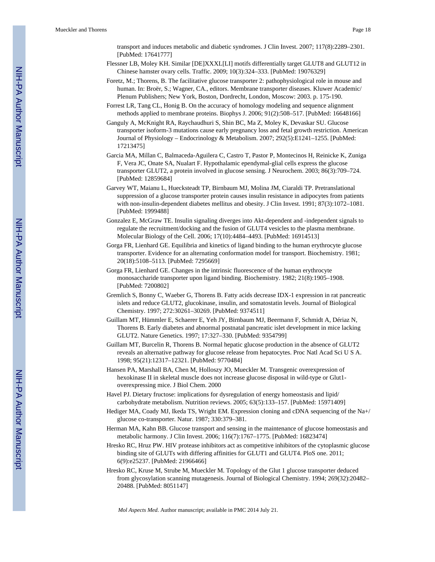transport and induces metabolic and diabetic syndromes. J Clin Invest. 2007; 117(8):2289–2301. [PubMed: 17641777]

- Flessner LB, Moley KH. Similar [DE]XXXL[LI] motifs differentially target GLUT8 and GLUT12 in Chinese hamster ovary cells. Traffic. 2009; 10(3):324–333. [PubMed: 19076329]
- Foretz, M.; Thorens, B. The facilitative glucose transporter 2: pathophysiological role in mouse and human. In: Broër, S.; Wagner, CA., editors. Membrane transporter diseases. Kluwer Academic/ Plenum Publishers; New York, Boston, Dordrecht, London, Moscow: 2003. p. 175-190.
- Forrest LR, Tang CL, Honig B. On the accuracy of homology modeling and sequence alignment methods applied to membrane proteins. Biophys J. 2006; 91(2):508–517. [PubMed: 16648166]
- Ganguly A, McKnight RA, Raychaudhuri S, Shin BC, Ma Z, Moley K, Devaskar SU. Glucose transporter isoform-3 mutations cause early pregnancy loss and fetal growth restriction. American Journal of Physiology – Endocrinology & Metabolism. 2007; 292(5):E1241–1255. [PubMed: 17213475]
- Garcia MA, Millan C, Balmaceda-Aguilera C, Castro T, Pastor P, Montecinos H, Reinicke K, Zuniga F, Vera JC, Onate SA, Nualart F. Hypothalamic ependymal-glial cells express the glucose transporter GLUT2, a protein involved in glucose sensing. J Neurochem. 2003; 86(3):709–724. [PubMed: 12859684]
- Garvey WT, Maianu L, Huecksteadt TP, Birnbaum MJ, Molina JM, Ciaraldi TP. Pretranslational suppression of a glucose transporter protein causes insulin resistance in adipocytes from patients with non-insulin-dependent diabetes mellitus and obesity. J Clin Invest. 1991; 87(3):1072–1081. [PubMed: 1999488]
- Gonzalez E, McGraw TE. Insulin signaling diverges into Akt-dependent and -independent signals to regulate the recruitment/docking and the fusion of GLUT4 vesicles to the plasma membrane. Molecular Biology of the Cell. 2006; 17(10):4484–4493. [PubMed: 16914513]
- Gorga FR, Lienhard GE. Equilibria and kinetics of ligand binding to the human erythrocyte glucose transporter. Evidence for an alternating conformation model for transport. Biochemistry. 1981; 20(18):5108–5113. [PubMed: 7295669]
- Gorga FR, Lienhard GE. Changes in the intrinsic fluorescence of the human erythrocyte monosaccharide transporter upon ligand binding. Biochemistry. 1982; 21(8):1905–1908. [PubMed: 7200802]
- Gremlich S, Bonny C, Waeber G, Thorens B. Fatty acids decrease IDX-1 expression in rat pancreatic islets and reduce GLUT2, glucokinase, insulin, and somatostatin levels. Journal of Biological Chemistry. 1997; 272:30261–30269. [PubMed: 9374511]
- Guillam MT, Hümmler E, Schaerer E, Yeh JY, Birnbaum MJ, Beermann F, Schmidt A, Dériaz N, Thorens B. Early diabetes and abnormal postnatal pancreatic islet development in mice lacking GLUT2. Nature Genetics. 1997; 17:327–330. [PubMed: 9354799]
- Guillam MT, Burcelin R, Thorens B. Normal hepatic glucose production in the absence of GLUT2 reveals an alternative pathway for glucose release from hepatocytes. Proc Natl Acad Sci U S A. 1998; 95(21):12317–12321. [PubMed: 9770484]
- Hansen PA, Marshall BA, Chen M, Holloszy JO, Mueckler M. Transgenic overexpression of hexokinase II in skeletal muscle does not increase glucose disposal in wild-type or Glut1 overexpressing mice. J Biol Chem. 2000
- Havel PJ. Dietary fructose: implications for dysregulation of energy homeostasis and lipid/ carbohydrate metabolism. Nutrition reviews. 2005; 63(5):133–157. [PubMed: 15971409]
- Hediger MA, Coady MJ, Ikeda TS, Wright EM. Expression cloning and cDNA sequencing of the Na+/ glucose co-transporter. Natur. 1987; 330:379–381.
- Herman MA, Kahn BB. Glucose transport and sensing in the maintenance of glucose homeostasis and metabolic harmony. J Clin Invest. 2006; 116(7):1767–1775. [PubMed: 16823474]
- Hresko RC, Hruz PW. HIV protease inhibitors act as competitive inhibitors of the cytoplasmic glucose binding site of GLUTs with differing affinities for GLUT1 and GLUT4. PloS one. 2011; 6(9):e25237. [PubMed: 21966466]
- Hresko RC, Kruse M, Strube M, Mueckler M. Topology of the Glut 1 glucose transporter deduced from glycosylation scanning mutagenesis. Journal of Biological Chemistry. 1994; 269(32):20482– 20488. [PubMed: 8051147]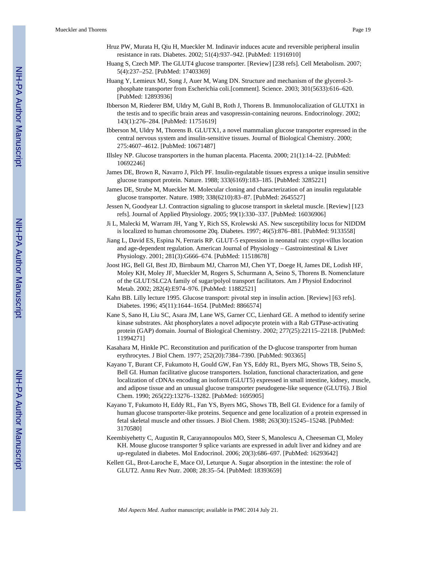- Hruz PW, Murata H, Qiu H, Mueckler M. Indinavir induces acute and reversible peripheral insulin resistance in rats. Diabetes. 2002; 51(4):937–942. [PubMed: 11916910]
- Huang S, Czech MP. The GLUT4 glucose transporter. [Review] [238 refs]. Cell Metabolism. 2007; 5(4):237–252. [PubMed: 17403369]
- Huang Y, Lemieux MJ, Song J, Auer M, Wang DN. Structure and mechanism of the glycerol-3 phosphate transporter from Escherichia coli.[comment]. Science. 2003; 301(5633):616–620. [PubMed: 12893936]
- Ibberson M, Riederer BM, Uldry M, Guhl B, Roth J, Thorens B. Immunolocalization of GLUTX1 in the testis and to specific brain areas and vasopressin-containing neurons. Endocrinology. 2002; 143(1):276–284. [PubMed: 11751619]
- Ibberson M, Uldry M, Thorens B. GLUTX1, a novel mammalian glucose transporter expressed in the central nervous system and insulin-sensitive tissues. Journal of Biological Chemistry. 2000; 275:4607–4612. [PubMed: 10671487]
- Illsley NP. Glucose transporters in the human placenta. Placenta. 2000; 21(1):14–22. [PubMed: 10692246]
- James DE, Brown R, Navarro J, Pilch PF. Insulin-regulatable tissues express a unique insulin sensitive glucose transport protein. Nature. 1988; 333(6169):183–185. [PubMed: 3285221]
- James DE, Strube M, Mueckler M. Molecular cloning and characterization of an insulin regulatable glucose transporter. Nature. 1989; 338(6210):83–87. [PubMed: 2645527]
- Jessen N, Goodyear LJ. Contraction signaling to glucose transport in skeletal muscle. [Review] [123 refs]. Journal of Applied Physiology. 2005; 99(1):330–337. [PubMed: 16036906]
- Ji L, Malecki M, Warram JH, Yang Y, Rich SS, Krolewski AS. New susceptibility locus for NIDDM is localized to human chromosome 20q. Diabetes. 1997; 46(5):876–881. [PubMed: 9133558]
- Jiang L, David ES, Espina N, Ferraris RP. GLUT-5 expression in neonatal rats: crypt-villus location and age-dependent regulation. American Journal of Physiology – Gastrointestinal & Liver Physiology. 2001; 281(3):G666–674. [PubMed: 11518678]
- Joost HG, Bell GI, Best JD, Birnbaum MJ, Charron MJ, Chen YT, Doege H, James DE, Lodish HF, Moley KH, Moley JF, Mueckler M, Rogers S, Schurmann A, Seino S, Thorens B. Nomenclature of the GLUT/SLC2A family of sugar/polyol transport facilitators. Am J Physiol Endocrinol Metab. 2002; 282(4):E974–976. [PubMed: 11882521]
- Kahn BB. Lilly lecture 1995. Glucose transport: pivotal step in insulin action. [Review] [63 refs]. Diabetes. 1996; 45(11):1644–1654. [PubMed: 8866574]
- Kane S, Sano H, Liu SC, Asara JM, Lane WS, Garner CC, Lienhard GE. A method to identify serine kinase substrates. Akt phosphorylates a novel adipocyte protein with a Rab GTPase-activating protein (GAP) domain. Journal of Biological Chemistry. 2002; 277(25):22115–22118. [PubMed: 11994271]
- Kasahara M, Hinkle PC. Reconstitution and purification of the D-glucose transporter from human erythrocytes. J Biol Chem. 1977; 252(20):7384–7390. [PubMed: 903365]
- Kayano T, Burant CF, Fukumoto H, Gould GW, Fan YS, Eddy RL, Byers MG, Shows TB, Seino S, Bell GI. Human facilitative glucose transporters. Isolation, functional characterization, and gene localization of cDNAs encoding an isoform (GLUT5) expressed in small intestine, kidney, muscle, and adipose tissue and an unusual glucose transporter pseudogene-like sequence (GLUT6). J Biol Chem. 1990; 265(22):13276–13282. [PubMed: 1695905]
- Kayano T, Fukumoto H, Eddy RL, Fan YS, Byers MG, Shows TB, Bell GI. Evidence for a family of human glucose transporter-like proteins. Sequence and gene localization of a protein expressed in fetal skeletal muscle and other tissues. J Biol Chem. 1988; 263(30):15245–15248. [PubMed: 3170580]
- Keembiyehetty C, Augustin R, Carayannopoulos MO, Steer S, Manolescu A, Cheeseman CI, Moley KH. Mouse glucose transporter 9 splice variants are expressed in adult liver and kidney and are up-regulated in diabetes. Mol Endocrinol. 2006; 20(3):686–697. [PubMed: 16293642]
- Kellett GL, Brot-Laroche E, Mace OJ, Leturque A. Sugar absorption in the intestine: the role of GLUT2. Annu Rev Nutr. 2008; 28:35–54. [PubMed: 18393659]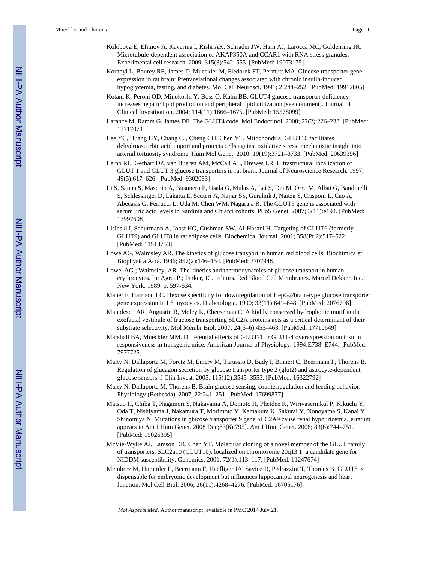- Kolobova E, Efimov A, Kaverina I, Rishi AK, Schrader JW, Ham AJ, Larocca MC, Goldenring JR. Microtubule-dependent association of AKAP350A and CCAR1 with RNA stress granules. Experimental cell research. 2009; 315(3):542–555. [PubMed: 19073175]
- Koranyi L, Bourey RE, James D, Mueckler M, Fiedorek FT, Permutt MA. Glucose transporter gene expression in rat brain: Pretranslational changes associated with chronic insulin-induced hypoglycemia, fasting, and diabetes. Mol Cell Neurosci. 1991; 2:244–252. [PubMed: 19912805]
- Kotani K, Peroni OD, Minokoshi Y, Boss O, Kahn BB. GLUT4 glucose transporter deficiency increases hepatic lipid production and peripheral lipid utilization.[see comment]. Journal of Clinical Investigation. 2004; 114(11):1666–1675. [PubMed: 15578099]
- Larance M, Ramm G, James DE. The GLUT4 code. Mol Endocrinol. 2008; 22(2):226–233. [PubMed: 17717074]
- Lee YC, Huang HY, Chang CJ, Cheng CH, Chen YT. Mitochondrial GLUT10 facilitates dehydroascorbic acid import and protects cells against oxidative stress: mechanistic insight into arterial tortuosity syndrome. Hum Mol Genet. 2010; 19(19):3721–3733. [PubMed: 20639396]
- Leino RL, Gerhart DZ, van Bueren AM, McCall AL, Drewes LR. Ultrastructural localization of GLUT 1 and GLUT 3 glucose transporters in rat brain. Journal of Neuroscience Research. 1997; 49(5):617–626. [PubMed: 9302083]
- Li S, Sanna S, Maschio A, Busonero F, Usala G, Mulas A, Lai S, Dei M, Orru M, Albai G, Bandinelli S, Schlessinger D, Lakatta E, Scuteri A, Najjar SS, Guralnik J, Naitza S, Crisponi L, Cao A, Abecasis G, Ferrucci L, Uda M, Chen WM, Nagaraja R. The GLUT9 gene is associated with serum uric acid levels in Sardinia and Chianti cohorts. PLoS Genet. 2007; 3(11):e194. [PubMed: 17997608]
- Lisinski I, Schurmann A, Joost HG, Cushman SW, Al-Hasani H. Targeting of GLUT6 (formerly GLUT9) and GLUT8 in rat adipose cells. Biochemical Journal. 2001; 358(Pt 2):517–522. [PubMed: 11513753]
- Lowe AG, Walmsley AR. The kinetics of glucose transport in human red blood cells. Biochimica et Biophysica Acta. 1986; 857(2):146–154. [PubMed: 3707948]
- Lowe, AG.; Walmsley, AR. The kinetics and thermodynamics of glucose transport in human erythrocytes. In: Agre, P.; Parker, JC., editors. Red Blood Cell Membranes. Marcel Dekker, Inc.; New York: 1989. p. 597-634.
- Maher F, Harrison LC. Hexose specificity for downregulation of HepG2/brain-type glucose transporter gene expression in L6 myocytes. Diabetologia. 1990; 33(11):641–648. [PubMed: 2076796]
- Manolescu AR, Augustin R, Moley K, Cheeseman C. A highly conserved hydrophobic motif in the exofacial vestibule of fructose transporting SLC2A proteins acts as a critical determinant of their substrate selectivity. Mol Membr Biol. 2007; 24(5–6):455–463. [PubMed: 17710649]
- Marshall BA, Mueckler MM. Differential effects of GLUT-1 or GLUT-4 overexpression on insulin responsiveness in transgenic mice. American Journal of Physiology. 1994:E738–E744. [PubMed: 7977725]
- Marty N, Dallaporta M, Foretz M, Emery M, Tarussio D, Bady I, Binnert C, Beermann F, Thorens B. Regulation of glucagon secretion by glucose transporter type 2 (glut2) and astrocyte-dependent glucose sensors. J Clin Invest. 2005; 115(12):3545–3553. [PubMed: 16322792]
- Marty N, Dallaporta M, Thorens B. Brain glucose sensing, counterregulation and feeding behavior. Physiology (Bethesda). 2007; 22:241–251. [PubMed: 17699877]
- Matsuo H, Chiba T, Nagamori S, Nakayama A, Domoto H, Phetdee K, Wiriyasermkul P, Kikuchi Y, Oda T, Nishiyama J, Nakamura T, Morimoto Y, Kamakura K, Sakurai Y, Nonoyama S, Kanai Y, Shinomiya N. Mutations in glucose transporter 9 gene SLC2A9 cause renal hypouricemia.[erratum appears in Am J Hum Genet. 2008 Dec;83(6):795]. Am J Hum Genet. 2008; 83(6):744–751. [PubMed: 19026395]
- McVie-Wylie AJ, Lamson DR, Chen YT. Molecular cloning of a novel member of the GLUT family of transporters, SLC2a10 (GLUT10), localized on chromosome 20q13.1: a candidate gene for NIDDM susceptibility. Genomics. 2001; 72(1):113–117. [PubMed: 11247674]
- Membrez M, Hummler E, Beermann F, Haefliger JA, Savioz R, Pedrazzini T, Thorens B. GLUT8 is dispensable for embryonic development but influences hippocampal neurogenesis and heart function. Mol Cell Biol. 2006; 26(11):4268–4276. [PubMed: 16705176]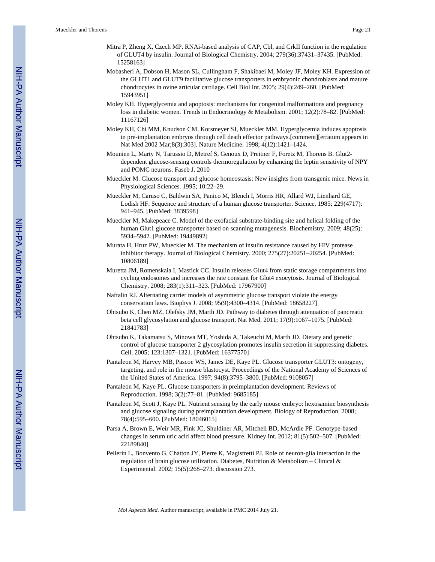- Mitra P, Zheng X, Czech MP. RNAi-based analysis of CAP, Cbl, and CrkII function in the regulation of GLUT4 by insulin. Journal of Biological Chemistry. 2004; 279(36):37431–37435. [PubMed: 15258163]
- Mobasheri A, Dobson H, Mason SL, Cullingham F, Shakibaei M, Moley JF, Moley KH. Expression of the GLUT1 and GLUT9 facilitative glucose transporters in embryonic chondroblasts and mature chondrocytes in ovine articular cartilage. Cell Biol Int. 2005; 29(4):249–260. [PubMed: 15943951]
- Moley KH. Hyperglycemia and apoptosis: mechanisms for congenital malformations and pregnancy loss in diabetic women. Trends in Endocrinology & Metabolism. 2001; 12(2):78–82. [PubMed: 11167126]
- Moley KH, Chi MM, Knudson CM, Korsmeyer SJ, Mueckler MM. Hyperglycemia induces apoptosis in pre-implantation embryos through cell death effector pathways.[comment][erratum appears in Nat Med 2002 Mar;8(3):303]. Nature Medicine. 1998; 4(12):1421–1424.
- Mounien L, Marty N, Tarussio D, Metref S, Genoux D, Preitner F, Foretz M, Thorens B. Glut2 dependent glucose-sensing controls thermoregulation by enhancing the leptin sensitivity of NPY and POMC neurons. Faseb J. 2010
- Mueckler M. Glucose transport and glucose homeostasis: New insights from transgenic mice. News in Physiological Sciences. 1995; 10:22–29.
- Mueckler M, Caruso C, Baldwin SA, Panico M, Blench I, Morris HR, Allard WJ, Lienhard GE, Lodish HF. Sequence and structure of a human glucose transporter. Science. 1985; 229(4717): 941–945. [PubMed: 3839598]
- Mueckler M, Makepeace C. Model of the exofacial substrate-binding site and helical folding of the human Glut1 glucose transporter based on scanning mutagenesis. Biochemistry. 2009; 48(25): 5934–5942. [PubMed: 19449892]
- Murata H, Hruz PW, Mueckler M. The mechanism of insulin resistance caused by HIV protease inhibitor therapy. Journal of Biological Chemistry. 2000; 275(27):20251–20254. [PubMed: 10806189]
- Muretta JM, Romenskaia I, Mastick CC. Insulin releases Glut4 from static storage compartments into cycling endosomes and increases the rate constant for Glut4 exocytosis. Journal of Biological Chemistry. 2008; 283(1):311–323. [PubMed: 17967900]
- Naftalin RJ. Alternating carrier models of asymmetric glucose transport violate the energy conservation laws. Biophys J. 2008; 95(9):4300–4314. [PubMed: 18658227]
- Ohtsubo K, Chen MZ, Olefsky JM, Marth JD. Pathway to diabetes through attenuation of pancreatic beta cell glycosylation and glucose transport. Nat Med. 2011; 17(9):1067–1075. [PubMed: 21841783]
- Ohtsubo K, Takamatsu S, Minowa MT, Yoshida A, Takeuchi M, Marth JD. Dietary and genetic control of glucose transporter 2 glycosylation promotes insulin secretion in suppressing diabetes. Cell. 2005; 123:1307–1321. [PubMed: 16377570]
- Pantaleon M, Harvey MB, Pascoe WS, James DE, Kaye PL. Glucose transporter GLUT3: ontogeny, targeting, and role in the mouse blastocyst. Proceedings of the National Academy of Sciences of the United States of America. 1997; 94(8):3795–3800. [PubMed: 9108057]
- Pantaleon M, Kaye PL. Glucose transporters in preimplantation development. Reviews of Reproduction. 1998; 3(2):77–81. [PubMed: 9685185]
- Pantaleon M, Scott J, Kaye PL. Nutrient sensing by the early mouse embryo: hexosamine biosynthesis and glucose signaling during preimplantation development. Biology of Reproduction. 2008; 78(4):595–600. [PubMed: 18046015]
- Parsa A, Brown E, Weir MR, Fink JC, Shuldiner AR, Mitchell BD, McArdle PF. Genotype-based changes in serum uric acid affect blood pressure. Kidney Int. 2012; 81(5):502–507. [PubMed: 22189840]
- Pellerin L, Bonvento G, Chatton JY, Pierre K, Magistretti PJ. Role of neuron-glia interaction in the regulation of brain glucose utilization. Diabetes, Nutrition & Metabolism – Clinical & Experimental. 2002; 15(5):268–273. discussion 273.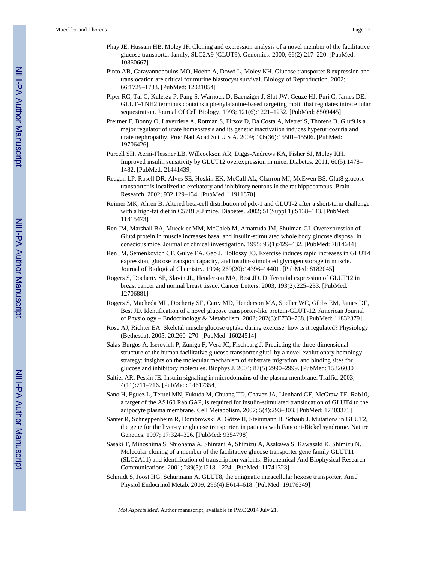- Phay JE, Hussain HB, Moley JF. Cloning and expression analysis of a novel member of the facilitative glucose transporter family, SLC2A9 (GLUT9). Genomics. 2000; 66(2):217–220. [PubMed: 10860667]
- Pinto AB, Carayannopoulos MO, Hoehn A, Dowd L, Moley KH. Glucose transporter 8 expression and translocation are critical for murine blastocyst survival. Biology of Reproduction. 2002; 66:1729–1733. [PubMed: 12021054]
- Piper RC, Tai C, Kulesza P, Pang S, Warnock D, Baenziger J, Slot JW, Geuze HJ, Puri C, James DE. GLUT-4 NH2 terminus contains a phenylalanine-based targeting motif that regulates intracellular sequestration. Journal Of Cell Biology. 1993; 121(6):1221–1232. [PubMed: 8509445]
- Preitner F, Bonny O, Laverriere A, Rotman S, Firsov D, Da Costa A, Metref S, Thorens B. Glut9 is a major regulator of urate homeostasis and its genetic inactivation induces hyperuricosuria and urate nephropathy. Proc Natl Acad Sci U S A. 2009; 106(36):15501–15506. [PubMed: 19706426]
- Purcell SH, Aerni-Flessner LB, Willcockson AR, Diggs-Andrews KA, Fisher SJ, Moley KH. Improved insulin sensitivity by GLUT12 overexpression in mice. Diabetes. 2011; 60(5):1478– 1482. [PubMed: 21441439]
- Reagan LP, Rosell DR, Alves SE, Hoskin EK, McCall AL, Charron MJ, McEwen BS. Glut8 glucose transporter is localized to excitatory and inhibitory neurons in the rat hippocampus. Brain Research. 2002; 932:129–134. [PubMed: 11911870]
- Reimer MK, Ahren B. Altered beta-cell distribution of pdx-1 and GLUT-2 after a short-term challenge with a high-fat diet in C57BL/6J mice. Diabetes. 2002; 51(Suppl 1):S138–143. [PubMed: 11815473]
- Ren JM, Marshall BA, Mueckler MM, McCaleb M, Amatruda JM, Shulman GI. Overexpression of Glut4 protein in muscle increases basal and insulin-stimulated whole body glucose disposal in conscious mice. Journal of clinical investigation. 1995; 95(1):429–432. [PubMed: 7814644]
- Ren JM, Semenkovich CF, Gulve EA, Gao J, Holloszy JO. Exercise induces rapid increases in GLUT4 expression, glucose transport capacity, and insulin-stimulated glycogen storage in muscle. Journal of Biological Chemistry. 1994; 269(20):14396–14401. [PubMed: 8182045]
- Rogers S, Docherty SE, Slavin JL, Henderson MA, Best JD. Differential expression of GLUT12 in breast cancer and normal breast tissue. Cancer Letters. 2003; 193(2):225–233. [PubMed: 12706881]
- Rogers S, Macheda ML, Docherty SE, Carty MD, Henderson MA, Soeller WC, Gibbs EM, James DE, Best JD. Identification of a novel glucose transporter-like protein-GLUT-12. American Journal of Physiology – Endocrinology & Metabolism. 2002; 282(3):E733–738. [PubMed: 11832379]
- Rose AJ, Richter EA. Skeletal muscle glucose uptake during exercise: how is it regulated? Physiology (Bethesda). 2005; 20:260–270. [PubMed: 16024514]
- Salas-Burgos A, Iserovich P, Zuniga F, Vera JC, Fischbarg J. Predicting the three-dimensional structure of the human facilitative glucose transporter glut1 by a novel evolutionary homology strategy: insights on the molecular mechanism of substrate migration, and binding sites for glucose and inhibitory molecules. Biophys J. 2004; 87(5):2990–2999. [PubMed: 15326030]
- Saltiel AR, Pessin JE. Insulin signaling in microdomains of the plasma membrane. Traffic. 2003; 4(11):711–716. [PubMed: 14617354]
- Sano H, Eguez L, Teruel MN, Fukuda M, Chuang TD, Chavez JA, Lienhard GE, McGraw TE. Rab10, a target of the AS160 Rab GAP, is required for insulin-stimulated translocation of GLUT4 to the adipocyte plasma membrane. Cell Metabolism. 2007; 5(4):293–303. [PubMed: 17403373]
- Santer R, Schneppenheim R, Dombrowski A, Götze H, Steinmann B, Schaub J. Mutations in GLUT2, the gene for the liver-type glucose transporter, in patients with Fanconi-Bickel syndrome. Nature Genetics. 1997; 17:324–326. [PubMed: 9354798]
- Sasaki T, Minoshima S, Shiohama A, Shintani A, Shimizu A, Asakawa S, Kawasaki K, Shimizu N. Molecular cloning of a member of the facilitative glucose transporter gene family GLUT11 (SLC2A11) and identification of transcription variants. Biochemical And Biophysical Research Communications. 2001; 289(5):1218–1224. [PubMed: 11741323]
- Schmidt S, Joost HG, Schurmann A. GLUT8, the enigmatic intracellular hexose transporter. Am J Physiol Endocrinol Metab. 2009; 296(4):E614–618. [PubMed: 19176349]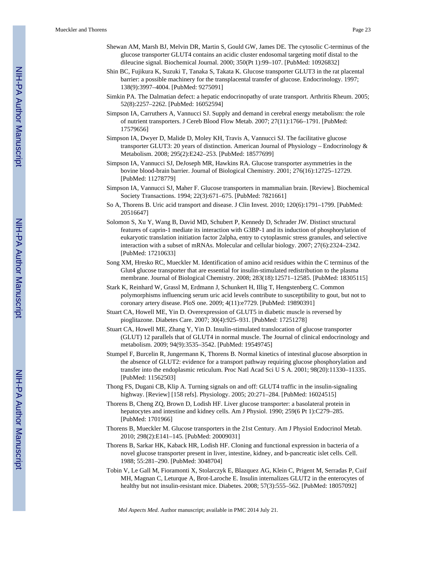- Shewan AM, Marsh BJ, Melvin DR, Martin S, Gould GW, James DE. The cytosolic C-terminus of the glucose transporter GLUT4 contains an acidic cluster endosomal targeting motif distal to the dileucine signal. Biochemical Journal. 2000; 350(Pt 1):99–107. [PubMed: 10926832]
- Shin BC, Fujikura K, Suzuki T, Tanaka S, Takata K. Glucose transporter GLUT3 in the rat placental barrier: a possible machinery for the transplacental transfer of glucose. Endocrinology. 1997; 138(9):3997–4004. [PubMed: 9275091]
- Simkin PA. The Dalmatian defect: a hepatic endocrinopathy of urate transport. Arthritis Rheum. 2005; 52(8):2257–2262. [PubMed: 16052594]
- Simpson IA, Carruthers A, Vannucci SJ. Supply and demand in cerebral energy metabolism: the role of nutrient transporters. J Cereb Blood Flow Metab. 2007; 27(11):1766–1791. [PubMed: 17579656]
- Simpson IA, Dwyer D, Malide D, Moley KH, Travis A, Vannucci SJ. The facilitative glucose transporter GLUT3: 20 years of distinction. American Journal of Physiology – Endocrinology & Metabolism. 2008; 295(2):E242–253. [PubMed: 18577699]
- Simpson IA, Vannucci SJ, DeJoseph MR, Hawkins RA. Glucose transporter asymmetries in the bovine blood-brain barrier. Journal of Biological Chemistry. 2001; 276(16):12725–12729. [PubMed: 11278779]
- Simpson IA, Vannucci SJ, Maher F. Glucose transporters in mammalian brain. [Review]. Biochemical Society Transactions. 1994; 22(3):671–675. [PubMed: 7821661]
- So A, Thorens B. Uric acid transport and disease. J Clin Invest. 2010; 120(6):1791–1799. [PubMed: 20516647]
- Solomon S, Xu Y, Wang B, David MD, Schubert P, Kennedy D, Schrader JW. Distinct structural features of caprin-1 mediate its interaction with G3BP-1 and its induction of phosphorylation of eukaryotic translation initiation factor 2alpha, entry to cytoplasmic stress granules, and selective interaction with a subset of mRNAs. Molecular and cellular biology. 2007; 27(6):2324–2342. [PubMed: 17210633]
- Song XM, Hresko RC, Mueckler M. Identification of amino acid residues within the C terminus of the Glut4 glucose transporter that are essential for insulin-stimulated redistribution to the plasma membrane. Journal of Biological Chemistry. 2008; 283(18):12571–12585. [PubMed: 18305115]
- Stark K, Reinhard W, Grassl M, Erdmann J, Schunkert H, Illig T, Hengstenberg C. Common polymorphisms influencing serum uric acid levels contribute to susceptibility to gout, but not to coronary artery disease. PloS one. 2009; 4(11):e7729. [PubMed: 19890391]
- Stuart CA, Howell ME, Yin D. Overexpression of GLUT5 in diabetic muscle is reversed by pioglitazone. Diabetes Care. 2007; 30(4):925–931. [PubMed: 17251278]
- Stuart CA, Howell ME, Zhang Y, Yin D. Insulin-stimulated translocation of glucose transporter (GLUT) 12 parallels that of GLUT4 in normal muscle. The Journal of clinical endocrinology and metabolism. 2009; 94(9):3535–3542. [PubMed: 19549745]
- Stumpel F, Burcelin R, Jungermann K, Thorens B. Normal kinetics of intestinal glucose absorption in the absence of GLUT2: evidence for a transport pathway requiring glucose phosphorylation and transfer into the endoplasmic reticulum. Proc Natl Acad Sci U S A. 2001; 98(20):11330–11335. [PubMed: 11562503]
- Thong FS, Dugani CB, Klip A. Turning signals on and off: GLUT4 traffic in the insulin-signaling highway. [Review] [158 refs]. Physiology. 2005; 20:271–284. [PubMed: 16024515]
- Thorens B, Cheng ZQ, Brown D, Lodish HF. Liver glucose transporter: a basolateral protein in hepatocytes and intestine and kidney cells. Am J Physiol. 1990; 259(6 Pt 1):C279–285. [PubMed: 1701966]
- Thorens B, Mueckler M. Glucose transporters in the 21st Century. Am J Physiol Endocrinol Metab. 2010; 298(2):E141–145. [PubMed: 20009031]
- Thorens B, Sarkar HK, Kaback HR, Lodish HF. Cloning and functional expression in bacteria of a novel glucose transporter present in liver, intestine, kidney, and b-pancreatic islet cells. Cell. 1988; 55:281–290. [PubMed: 3048704]
- Tobin V, Le Gall M, Fioramonti X, Stolarczyk E, Blazquez AG, Klein C, Prigent M, Serradas P, Cuif MH, Magnan C, Leturque A, Brot-Laroche E. Insulin internalizes GLUT2 in the enterocytes of healthy but not insulin-resistant mice. Diabetes. 2008; 57(3):555–562. [PubMed: 18057092]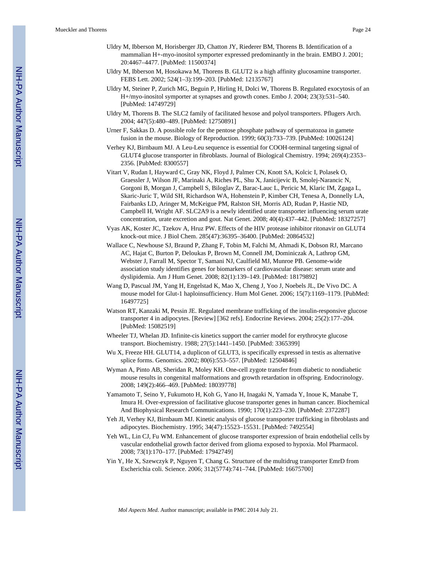- Uldry M, Ibberson M, Horisberger JD, Chatton JY, Riederer BM, Thorens B. Identification of a mammalian H+-myo-inositol symporter expressed predominantly in the brain. EMBO J. 2001; 20:4467–4477. [PubMed: 11500374]
- Uldry M, Ibberson M, Hosokawa M, Thorens B. GLUT2 is a high affinity glucosamine transporter. FEBS Lett. 2002; 524(1–3):199–203. [PubMed: 12135767]
- Uldry M, Steiner P, Zurich MG, Beguin P, Hirling H, Dolci W, Thorens B. Regulated exocytosis of an H+/myo-inositol symporter at synapses and growth cones. Embo J. 2004; 23(3):531–540. [PubMed: 14749729]
- Uldry M, Thorens B. The SLC2 family of facilitated hexose and polyol transporters. Pflugers Arch. 2004; 447(5):480–489. [PubMed: 12750891]
- Urner F, Sakkas D. A possible role for the pentose phosphate pathway of spermatozoa in gamete fusion in the mouse. Biology of Reproduction. 1999; 60(3):733–739. [PubMed: 10026124]
- Verhey KJ, Birnbaum MJ. A Leu-Leu sequence is essential for COOH-terminal targeting signal of GLUT4 glucose transporter in fibroblasts. Journal of Biological Chemistry. 1994; 269(4):2353– 2356. [PubMed: 8300557]
- Vitart V, Rudan I, Hayward C, Gray NK, Floyd J, Palmer CN, Knott SA, Kolcic I, Polasek O, Graessler J, Wilson JF, Marinaki A, Riches PL, Shu X, Janicijevic B, Smolej-Narancic N, Gorgoni B, Morgan J, Campbell S, Biloglav Z, Barac-Lauc L, Pericic M, Klaric IM, Zgaga L, Skaric-Juric T, Wild SH, Richardson WA, Hohenstein P, Kimber CH, Tenesa A, Donnelly LA, Fairbanks LD, Aringer M, McKeigue PM, Ralston SH, Morris AD, Rudan P, Hastie ND, Campbell H, Wright AF. SLC2A9 is a newly identified urate transporter influencing serum urate concentration, urate excretion and gout. Nat Genet. 2008; 40(4):437–442. [PubMed: 18327257]
- Vyas AK, Koster JC, Tzekov A, Hruz PW. Effects of the HIV protease inhibitor ritonavir on GLUT4 knock-out mice. J Biol Chem. 285(47):36395–36400. [PubMed: 20864532]
- Wallace C, Newhouse SJ, Braund P, Zhang F, Tobin M, Falchi M, Ahmadi K, Dobson RJ, Marcano AC, Hajat C, Burton P, Deloukas P, Brown M, Connell JM, Dominiczak A, Lathrop GM, Webster J, Farrall M, Spector T, Samani NJ, Caulfield MJ, Munroe PB. Genome-wide association study identifies genes for biomarkers of cardiovascular disease: serum urate and dyslipidemia. Am J Hum Genet. 2008; 82(1):139–149. [PubMed: 18179892]
- Wang D, Pascual JM, Yang H, Engelstad K, Mao X, Cheng J, Yoo J, Noebels JL, De Vivo DC. A mouse model for Glut-1 haploinsufficiency. Hum Mol Genet. 2006; 15(7):1169–1179. [PubMed: 16497725]
- Watson RT, Kanzaki M, Pessin JE. Regulated membrane trafficking of the insulin-responsive glucose transporter 4 in adipocytes. [Review] [362 refs]. Endocrine Reviews. 2004; 25(2):177–204. [PubMed: 15082519]
- Wheeler TJ, Whelan JD. Infinite-cis kinetics support the carrier model for erythrocyte glucose transport. Biochemistry. 1988; 27(5):1441–1450. [PubMed: 3365399]
- Wu X, Freeze HH. GLUT14, a duplicon of GLUT3, is specifically expressed in testis as alternative splice forms. Genomics. 2002; 80(6):553–557. [PubMed: 12504846]
- Wyman A, Pinto AB, Sheridan R, Moley KH. One-cell zygote transfer from diabetic to nondiabetic mouse results in congenital malformations and growth retardation in offspring. Endocrinology. 2008; 149(2):466–469. [PubMed: 18039778]
- Yamamoto T, Seino Y, Fukumoto H, Koh G, Yano H, Inagaki N, Yamada Y, Inoue K, Manabe T, Imura H. Over-expression of facilitative glucose transporter genes in human cancer. Biochemical And Biophysical Research Communications. 1990; 170(1):223–230. [PubMed: 2372287]
- Yeh JI, Verhey KJ, Birnbaum MJ. Kinetic analysis of glucose transporter trafficking in fibroblasts and adipocytes. Biochemistry. 1995; 34(47):15523–15531. [PubMed: 7492554]
- Yeh WL, Lin CJ, Fu WM. Enhancement of glucose transporter expression of brain endothelial cells by vascular endothelial growth factor derived from glioma exposed to hypoxia. Mol Pharmacol. 2008; 73(1):170–177. [PubMed: 17942749]
- Yin Y, He X, Szewczyk P, Nguyen T, Chang G. Structure of the multidrug transporter EmrD from Escherichia coli. Science. 2006; 312(5774):741–744. [PubMed: 16675700]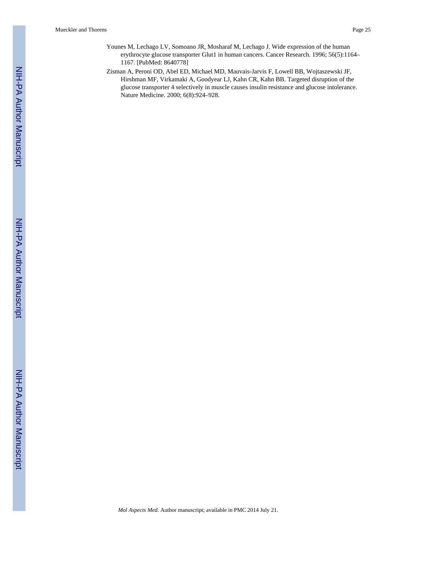- Younes M, Lechago LV, Somoano JR, Mosharaf M, Lechago J. Wide expression of the human erythrocyte glucose transporter Glut1 in human cancers. Cancer Research. 1996; 56(5):1164– 1167. [PubMed: 8640778]
- Zisman A, Peroni OD, Abel ED, Michael MD, Mauvais-Jarvis F, Lowell BB, Wojtaszewski JF, Hirshman MF, Virkamaki A, Goodyear LJ, Kahn CR, Kahn BB. Targeted disruption of the glucose transporter 4 selectively in muscle causes insulin resistance and glucose intolerance. Nature Medicine. 2000; 6(8):924–928.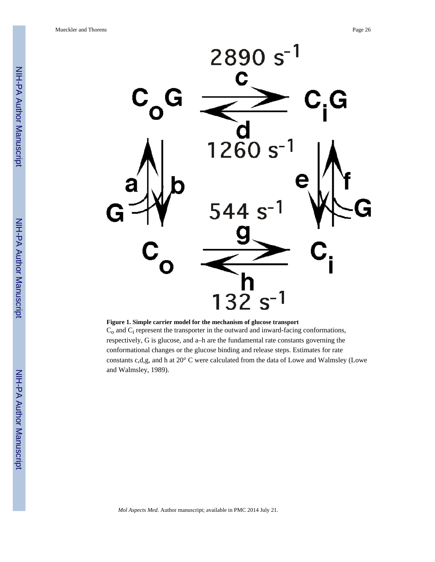

**Figure 1. Simple carrier model for the mechanism of glucose transport**

 $C_0$  and  $C_i$  represent the transporter in the outward and inward-facing conformations, respectively, G is glucose, and a–h are the fundamental rate constants governing the conformational changes or the glucose binding and release steps. Estimates for rate constants c,d,g, and h at 20° C were calculated from the data of Lowe and Walmsley (Lowe and Walmsley, 1989).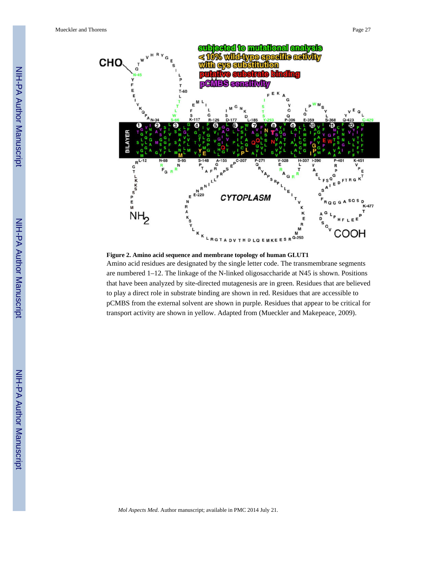

**Figure 2. Amino acid sequence and membrane topology of human GLUT1** Amino acid residues are designated by the single letter code. The transmembrane segments are numbered 1–12. The linkage of the N-linked oligosaccharide at N45 is shown. Positions that have been analyzed by site-directed mutagenesis are in green. Residues that are believed to play a direct role in substrate binding are shown in red. Residues that are accessible to pCMBS from the external solvent are shown in purple. Residues that appear to be critical for transport activity are shown in yellow. Adapted from (Mueckler and Makepeace, 2009).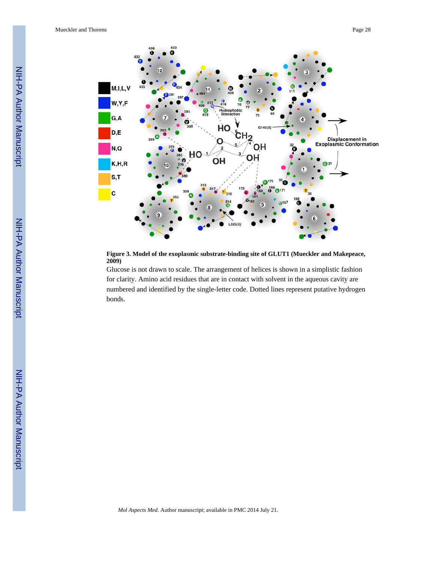

**Figure 3. Model of the exoplasmic substrate-binding site of GLUT1 (Mueckler and Makepeace, 2009)**

Glucose is not drawn to scale. The arrangement of helices is shown in a simplistic fashion for clarity. Amino acid residues that are in contact with solvent in the aqueous cavity are numbered and identified by the single-letter code. Dotted lines represent putative hydrogen bonds.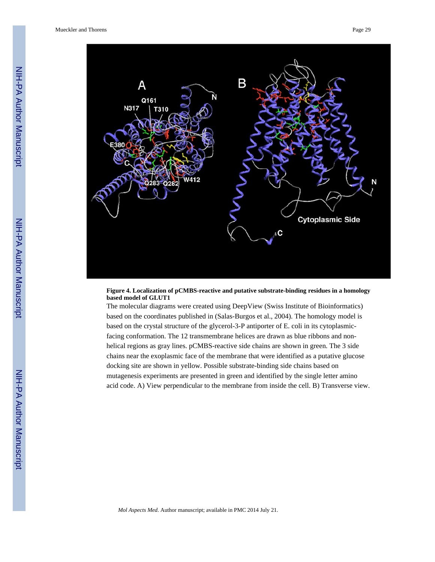

#### **Figure 4. Localization of pCMBS-reactive and putative substrate-binding residues in a homology based model of GLUT1**

The molecular diagrams were created using DeepView (Swiss Institute of Bioinformatics) based on the coordinates published in (Salas-Burgos et al., 2004). The homology model is based on the crystal structure of the glycerol-3-P antiporter of E. coli in its cytoplasmicfacing conformation. The 12 transmembrane helices are drawn as blue ribbons and nonhelical regions as gray lines. pCMBS-reactive side chains are shown in green. The 3 side chains near the exoplasmic face of the membrane that were identified as a putative glucose docking site are shown in yellow. Possible substrate-binding side chains based on mutagenesis experiments are presented in green and identified by the single letter amino acid code. A) View perpendicular to the membrane from inside the cell. B) Transverse view.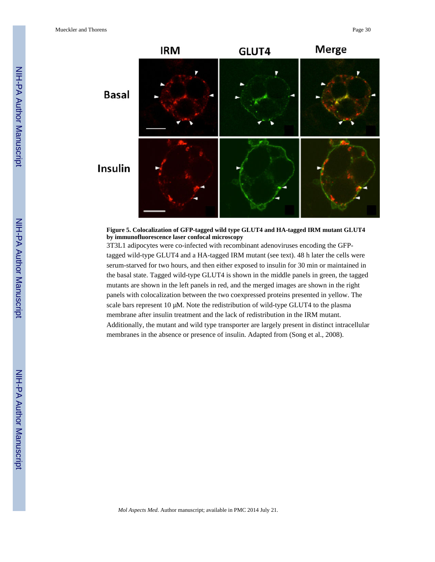

**Figure 5. Colocalization of GFP-tagged wild type GLUT4 and HA-tagged IRM mutant GLUT4 by immunofluorescence laser confocal microscopy**

3T3L1 adipocytes were co-infected with recombinant adenoviruses encoding the GFPtagged wild-type GLUT4 and a HA-tagged IRM mutant (see text). 48 h later the cells were serum-starved for two hours, and then either exposed to insulin for 30 min or maintained in the basal state. Tagged wild-type GLUT4 is shown in the middle panels in green, the tagged mutants are shown in the left panels in red, and the merged images are shown in the right panels with colocalization between the two coexpressed proteins presented in yellow. The scale bars represent 10 μM. Note the redistribution of wild-type GLUT4 to the plasma membrane after insulin treatment and the lack of redistribution in the IRM mutant. Additionally, the mutant and wild type transporter are largely present in distinct intracellular membranes in the absence or presence of insulin. Adapted from (Song et al., 2008).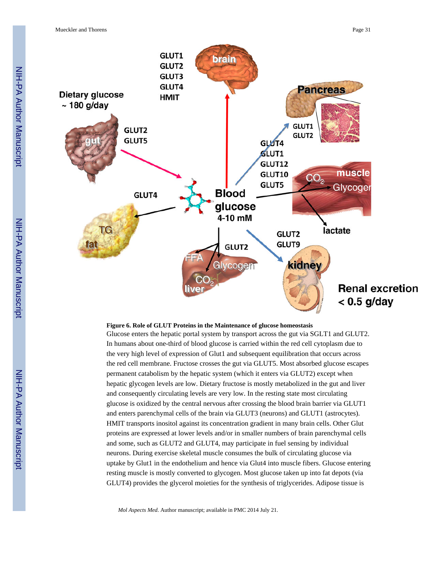

#### **Figure 6. Role of GLUT Proteins in the Maintenance of glucose homeostasis**

Glucose enters the hepatic portal system by transport across the gut via SGLT1 and GLUT2. In humans about one-third of blood glucose is carried within the red cell cytoplasm due to the very high level of expression of Glut1 and subsequent equilibration that occurs across the red cell membrane. Fructose crosses the gut via GLUT5. Most absorbed glucose escapes permanent catabolism by the hepatic system (which it enters via GLUT2) except when hepatic glycogen levels are low. Dietary fructose is mostly metabolized in the gut and liver and consequently circulating levels are very low. In the resting state most circulating glucose is oxidized by the central nervous after crossing the blood brain barrier via GLUT1 and enters parenchymal cells of the brain via GLUT3 (neurons) and GLUT1 (astrocytes). HMIT transports inositol against its concentration gradient in many brain cells. Other Glut proteins are expressed at lower levels and/or in smaller numbers of brain parenchymal cells and some, such as GLUT2 and GLUT4, may participate in fuel sensing by individual neurons. During exercise skeletal muscle consumes the bulk of circulating glucose via uptake by Glut1 in the endothelium and hence via Glut4 into muscle fibers. Glucose entering resting muscle is mostly converted to glycogen. Most glucose taken up into fat depots (via GLUT4) provides the glycerol moieties for the synthesis of triglycerides. Adipose tissue is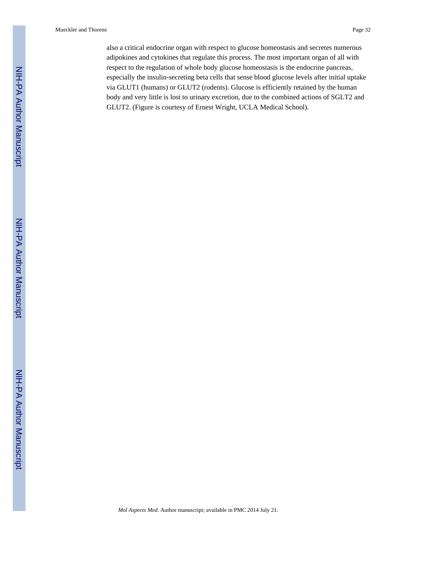also a critical endocrine organ with respect to glucose homeostasis and secretes numerous adipokines and cytokines that regulate this process. The most important organ of all with respect to the regulation of whole body glucose homeostasis is the endocrine pancreas, especially the insulin-secreting beta cells that sense blood glucose levels after initial uptake via GLUT1 (humans) or GLUT2 (rodents). Glucose is efficiently retained by the human body and very little is lost to urinary excretion, due to the combined actions of SGLT2 and GLUT2. (Figure is courtesy of Ernest Wright, UCLA Medical School).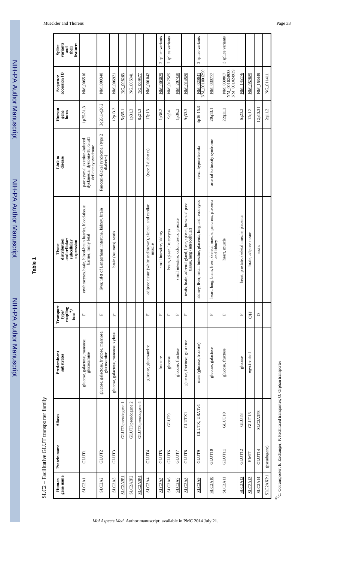| variants<br>features<br>Splice<br>their<br>and                                       |                                                                                      |                                                       |                                     |                    |                                                |                    |                                                                  | 2 splice variants       | 2 splice variants         |                                          |                                                                                                 | 2 splice variants                                             |                                                                              | 3 splice variants                         |                                            |                       |           |                 |
|--------------------------------------------------------------------------------------|--------------------------------------------------------------------------------------|-------------------------------------------------------|-------------------------------------|--------------------|------------------------------------------------|--------------------|------------------------------------------------------------------|-------------------------|---------------------------|------------------------------------------|-------------------------------------------------------------------------------------------------|---------------------------------------------------------------|------------------------------------------------------------------------------|-------------------------------------------|--------------------------------------------|-----------------------|-----------|-----------------|
| accession ID<br>Sequence                                                             | NM_006516                                                                            | NM_000340                                             | NM_006931                           | NG_008263          | NG 005841                                      | NG_009577          | NM_001042                                                        | NM 003039               | NM_017585                 | NM_207420                                | NM_014580                                                                                       | NM 001001290<br>NM_020041                                     | NM_030777                                                                    | NM 001024938<br>NM 001024939<br>NM 030807 | NM_145176                                  | NM_052885             | NM_153449 | NG_011411       |
| Human<br>gene<br>Locus                                                               | 1p35-31.3                                                                            | 3q26.1-q26.2                                          | 12p13.3                             | 5q35.1             | 1p31.3                                         | 8q21.3             | 17p13                                                            | 1p36.2                  | 9q34                      | 1p36.2                                   | 9q33.3                                                                                          | 4p16-15.3                                                     | 20q13.1                                                                      | 22q11.2                                   | 6q23.2                                     | 12q12                 | 12p13.31  | 2q11.2          |
| Link to<br>disease                                                                   | dyskinesia, dystonia-18, Glutl<br>paroxysmal exertion-induced<br>deficiency syndrome | Fanconi-Bickel syndrome, (type 2<br>diabetes)         |                                     |                    |                                                |                    | (type 2 diabetes)                                                |                         |                           |                                          |                                                                                                 | renal hypouricemia                                            | arterial tortuosity syndrome                                                 |                                           |                                            |                       |           |                 |
| and cellular/<br>distribution<br>subcellular<br>expression<br>Tissue                 | erythrocytes, brain, blood-brain barrier, blood-tissue<br>barrier, many fetal        | liver, islet of Langerhans, intestine, kidney, brain  | brain (neurons), testis             |                    |                                                |                    | adipose tissue (white and brown), skeletal and cardiac<br>muscle | small intestine, kidney | brain, spleen, leucocytes | small intestine, colon, testis, prostate | rain, adrenal gland, liver, spleen, brown adipose<br>tissue, lung (intracellular)<br>testis, bi | kidney, liver, small intestine, placenta, lung and leucocytes | heart, lung, brain, liver, skeletal muscle, pancreas, placenta<br>and kidney | heart, muscle                             | heart, prostate, skeletal muscle, placenta | brain, adipose tissue | testis    |                 |
| Transport<br>$\overset{\text{coupling}}{\underset{\text{ions}}{\text{}}^*}$<br>type/ | $\mathbf{L}$                                                                         | $\mathbf{L}_i$                                        | 'n,                                 |                    |                                                |                    | $\mathbf{L}_i$                                                   | $\mathbf{L}_1$          | $\mathbf{L}_1$            | $\mathbf{L}$                             | $\mathbf{L}_1$                                                                                  |                                                               | $\mathbf{L}$                                                                 | $\mathbf{L}_i$                            | $\mathbf{L}_i$                             | $\overline{H}$        | $\circ$   |                 |
| Predominant<br>substrates                                                            | glucose, galactose, mannose,<br>glucosamine                                          | glucose, galactose, fructose, mannose,<br>glucosamine | glucose, galactose, mannose, xylose |                    |                                                |                    | glucose, glucosamine                                             | fructose                | glucose                   | glucose, fructose                        | glucose, fructose, galactose                                                                    | urate (glucose, fructose)                                     | glucose, galactose                                                           | glucose, fructose                         | glucose                                    | myo-inositol          |           |                 |
| Aliases                                                                              |                                                                                      |                                                       |                                     | GLUT3 pseudogene 1 | GLUT3 pseudogene 2                             | GLUT3 pseudogene 4 |                                                                  |                         | GLUT9                     |                                          | <b>GLUTX1</b>                                                                                   | GLUTX, URATVI                                                 |                                                                              | GLUT10                                    | GLUT8                                      | GLUT13                | SLC2A3P3  |                 |
| Protein name                                                                         | <b>GLUTI</b>                                                                         | GLUT2                                                 | <b>GLUT3</b>                        |                    |                                                |                    | GLUT4                                                            | <b>GLUT5</b>            | GLUT6                     | <b>GLUT7</b>                             | GLUT8                                                                                           | GLUT9                                                         | GLUT10                                                                       | <b>GLUTII</b>                             | GLUT12                                     | HMIT                  | GLUT14    | (pseudogene)    |
| gene name<br>Human                                                                   | <b>SLC2A1</b>                                                                        | SLC2A2                                                | SLC2A3                              | SLC2A3P1           | SLC <sub>2</sub> A <sub>3</sub> P <sub>2</sub> | SLC2A3P4           | <b>SLC2A4</b>                                                    | SLC2A5                  | SLC2A6                    | SLC <sub>2</sub> A7                      | <b>SLC2A8</b>                                                                                   | SLC2A9                                                        | <b>SLC2A10</b>                                                               | <b>SLC2A11</b>                            | SLC2A12                                    | SLC2A13               | SLC2A14   | <b>SLC2AXP1</b> |

 $\ast\hspace{-0.1cm}/$  ). Cotransporter; E: Exchanger; F: Facilitated transporter; O: Orphan transporter *\*)*C: Cotransporter; E: Exchanger; F: Facilitated transporter; O: Orphan transporter

*Mol Aspects Med*. Author manuscript; available in PMC 2014 July 21.

NIH-PA Author Manuscript

NIH-PA Author Manuscript

 $SLC2$  – Facilitative GLUT transporter family SLC2 – Facilitative GLUT transporter family